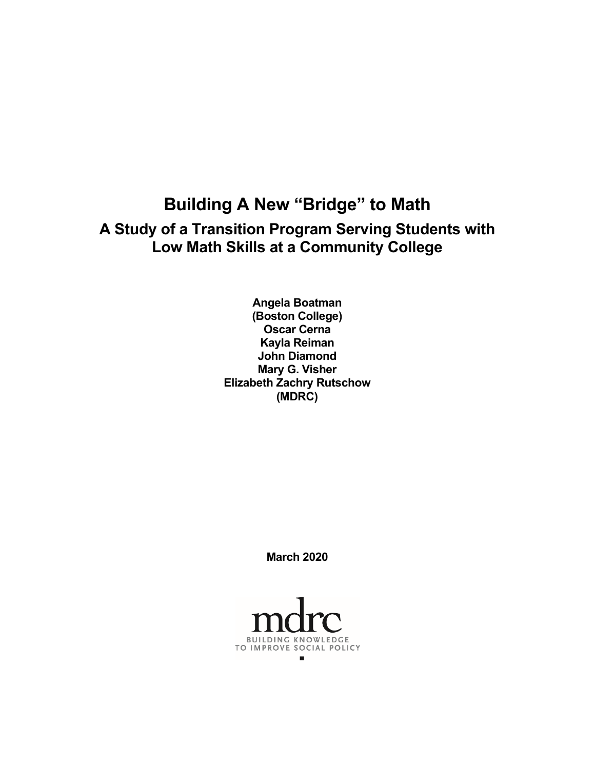# **Building A New "Bridge" to Math A Study of a Transition Program Serving Students with Low Math Skills at a Community College**

**Angela Boatman (Boston College) Oscar Cerna Kayla Reiman John Diamond Mary G. Visher Elizabeth Zachry Rutschow (MDRC)**

**March 2020**

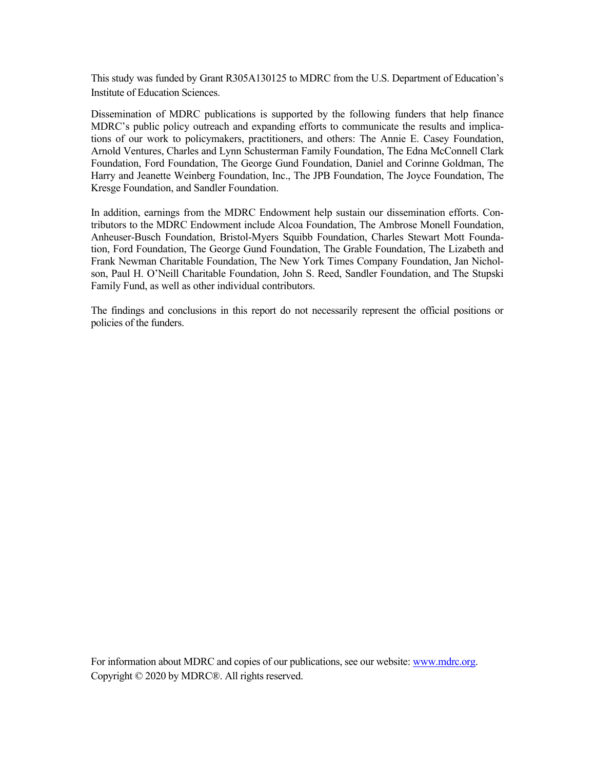This study was funded by Grant R305A130125 to MDRC from the U.S. Department of Education's Institute of Education Sciences.

Dissemination of MDRC publications is supported by the following funders that help finance MDRC's public policy outreach and expanding efforts to communicate the results and implications of our work to policymakers, practitioners, and others: The Annie E. Casey Foundation, Arnold Ventures, Charles and Lynn Schusterman Family Foundation, The Edna McConnell Clark Foundation, Ford Foundation, The George Gund Foundation, Daniel and Corinne Goldman, The Harry and Jeanette Weinberg Foundation, Inc., The JPB Foundation, The Joyce Foundation, The Kresge Foundation, and Sandler Foundation.

In addition, earnings from the MDRC Endowment help sustain our dissemination efforts. Contributors to the MDRC Endowment include Alcoa Foundation, The Ambrose Monell Foundation, Anheuser-Busch Foundation, Bristol-Myers Squibb Foundation, Charles Stewart Mott Foundation, Ford Foundation, The George Gund Foundation, The Grable Foundation, The Lizabeth and Frank Newman Charitable Foundation, The New York Times Company Foundation, Jan Nicholson, Paul H. O'Neill Charitable Foundation, John S. Reed, Sandler Foundation, and The Stupski Family Fund, as well as other individual contributors.

The findings and conclusions in this report do not necessarily represent the official positions or policies of the funders.

For information about MDRC and copies of our publications, see our website: www.mdrc.org. Copyright © 2020 by MDRC®. All rights reserved.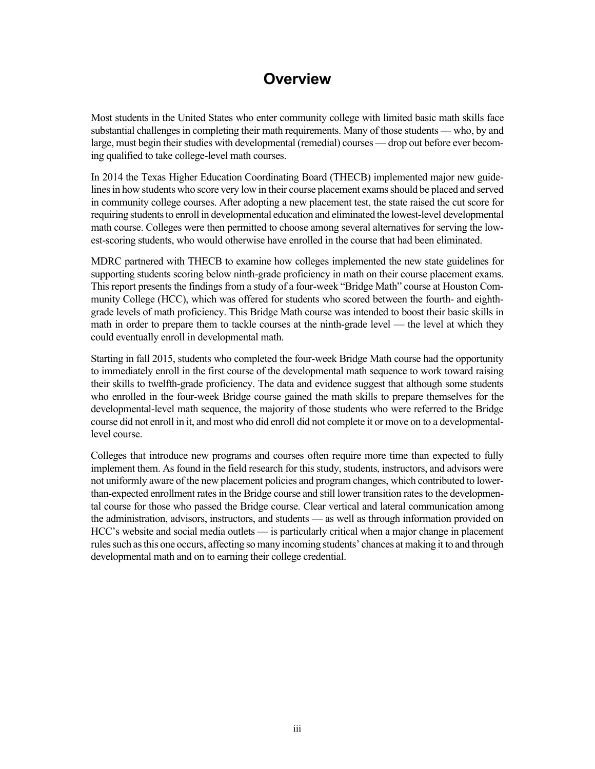# **Overview**

Most students in the United States who enter community college with limited basic math skills face substantial challenges in completing their math requirements. Many of those students — who, by and large, must begin their studies with developmental (remedial) courses — drop out before ever becoming qualified to take college-level math courses.

In 2014 the Texas Higher Education Coordinating Board (THECB) implemented major new guidelines in how students who score very low in their course placement exams should be placed and served in community college courses. After adopting a new placement test, the state raised the cut score for requiring students to enroll in developmental education and eliminated the lowest-level developmental math course. Colleges were then permitted to choose among several alternatives for serving the lowest-scoring students, who would otherwise have enrolled in the course that had been eliminated.

MDRC partnered with THECB to examine how colleges implemented the new state guidelines for supporting students scoring below ninth-grade proficiency in math on their course placement exams. This report presents the findings from a study of a four-week "Bridge Math" course at Houston Community College (HCC), which was offered for students who scored between the fourth- and eighthgrade levels of math proficiency. This Bridge Math course was intended to boost their basic skills in math in order to prepare them to tackle courses at the ninth-grade level — the level at which they could eventually enroll in developmental math.

Starting in fall 2015, students who completed the four-week Bridge Math course had the opportunity to immediately enroll in the first course of the developmental math sequence to work toward raising their skills to twelfth-grade proficiency. The data and evidence suggest that although some students who enrolled in the four-week Bridge course gained the math skills to prepare themselves for the developmental-level math sequence, the majority of those students who were referred to the Bridge course did not enroll in it, and most who did enroll did not complete it or move on to a developmentallevel course.

Colleges that introduce new programs and courses often require more time than expected to fully implement them. As found in the field research for this study, students, instructors, and advisors were not uniformly aware of the new placement policies and program changes, which contributed to lowerthan-expected enrollment rates in the Bridge course and still lower transition rates to the developmental course for those who passed the Bridge course. Clear vertical and lateral communication among the administration, advisors, instructors, and students — as well as through information provided on HCC's website and social media outlets — is particularly critical when a major change in placement rules such as this one occurs, affecting so many incoming students' chances at making it to and through developmental math and on to earning their college credential.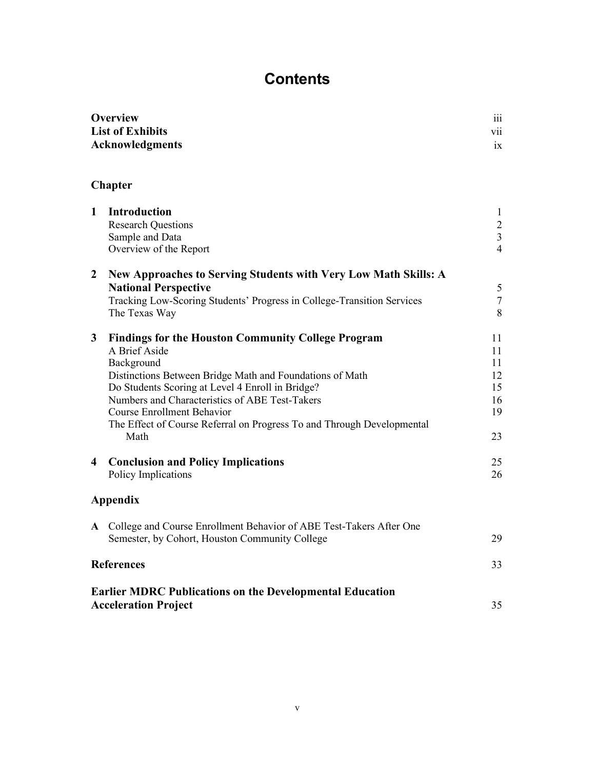# **Contents**

| <b>Overview</b>         | $\cdots$<br>111      |
|-------------------------|----------------------|
| <b>List of Exhibits</b> | $\cdot \cdot$<br>V11 |
| Acknowledgments         | 1X                   |

# **Chapter**

| $\mathbf{1}$     | <b>Introduction</b>                                                    | $\mathbf{1}$   |
|------------------|------------------------------------------------------------------------|----------------|
|                  | <b>Research Questions</b>                                              | $\frac{2}{3}$  |
|                  | Sample and Data                                                        | $\overline{4}$ |
|                  | Overview of the Report                                                 |                |
| $\boldsymbol{2}$ | New Approaches to Serving Students with Very Low Math Skills: A        |                |
|                  | <b>National Perspective</b>                                            | 5              |
|                  | Tracking Low-Scoring Students' Progress in College-Transition Services | $\tau$         |
|                  | The Texas Way                                                          | 8              |
| 3                | <b>Findings for the Houston Community College Program</b>              | 11             |
|                  | A Brief Aside                                                          | 11             |
|                  | Background                                                             | 11             |
|                  | Distinctions Between Bridge Math and Foundations of Math               | 12             |
|                  | Do Students Scoring at Level 4 Enroll in Bridge?                       | 15             |
|                  | Numbers and Characteristics of ABE Test-Takers                         | 16             |
|                  | <b>Course Enrollment Behavior</b>                                      | 19             |
|                  | The Effect of Course Referral on Progress To and Through Developmental |                |
|                  | Math                                                                   | 23             |
| 4                | <b>Conclusion and Policy Implications</b>                              | 25             |
|                  | Policy Implications                                                    | 26             |
|                  | Appendix                                                               |                |
| $\mathbf{A}$     | College and Course Enrollment Behavior of ABE Test-Takers After One    |                |
|                  | Semester, by Cohort, Houston Community College                         | 29             |
|                  | <b>References</b>                                                      | 33             |
|                  | <b>Earlier MDRC Publications on the Developmental Education</b>        |                |
|                  | <b>Acceleration Project</b>                                            | 35             |
|                  |                                                                        |                |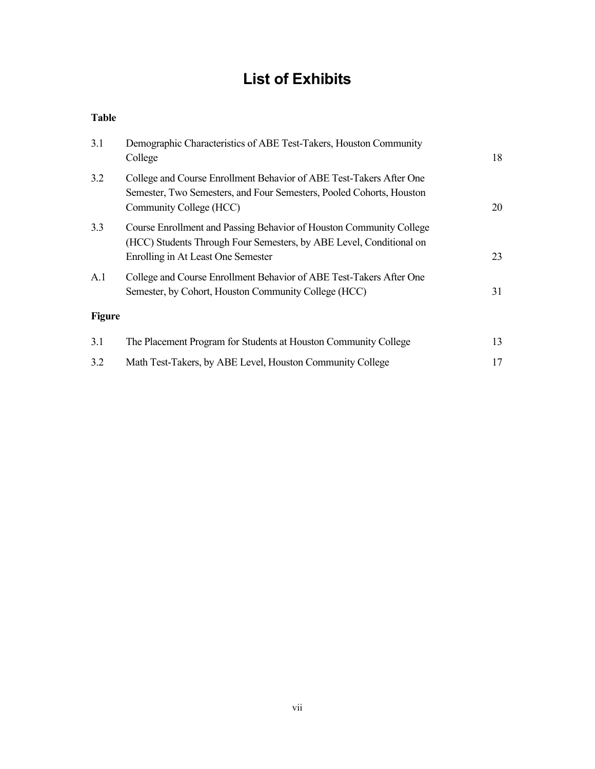# **List of Exhibits**

#### **Table**

| 3.1           | Demographic Characteristics of ABE Test-Takers, Houston Community<br>College                                                                                                     | 18 |
|---------------|----------------------------------------------------------------------------------------------------------------------------------------------------------------------------------|----|
| 3.2           | College and Course Enrollment Behavior of ABE Test-Takers After One<br>Semester, Two Semesters, and Four Semesters, Pooled Cohorts, Houston<br>Community College (HCC)           | 20 |
| 3.3           | Course Enrollment and Passing Behavior of Houston Community College<br>(HCC) Students Through Four Semesters, by ABE Level, Conditional on<br>Enrolling in At Least One Semester | 23 |
| A.1           | College and Course Enrollment Behavior of ABE Test-Takers After One<br>Semester, by Cohort, Houston Community College (HCC)                                                      | 31 |
| <b>Figure</b> |                                                                                                                                                                                  |    |
| 3.1           | The Placement Program for Students at Houston Community College                                                                                                                  | 13 |
| 3.2           | Math Test-Takers, by ABE Level, Houston Community College                                                                                                                        | 17 |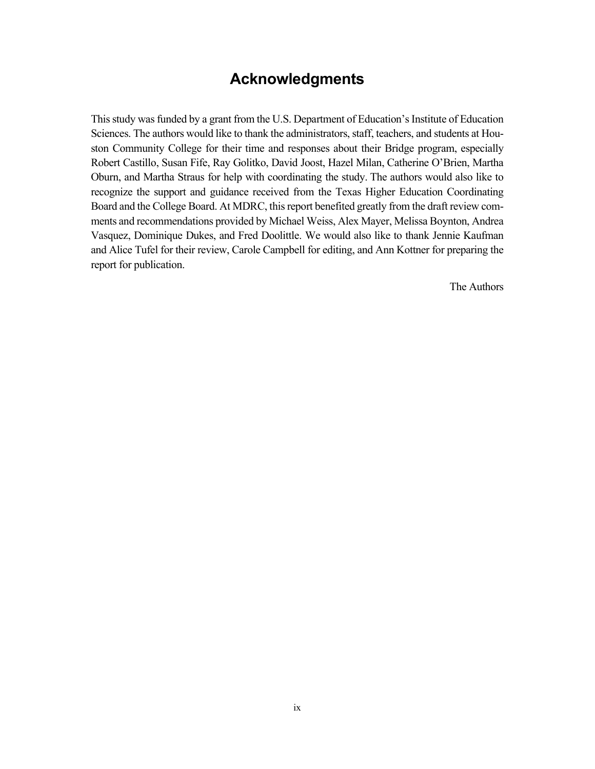# **Acknowledgments**

This study was funded by a grant from the U.S. Department of Education's Institute of Education Sciences. The authors would like to thank the administrators, staff, teachers, and students at Houston Community College for their time and responses about their Bridge program, especially Robert Castillo, Susan Fife, Ray Golitko, David Joost, Hazel Milan, Catherine O'Brien, Martha Oburn, and Martha Straus for help with coordinating the study. The authors would also like to recognize the support and guidance received from the Texas Higher Education Coordinating Board and the College Board. At MDRC, this report benefited greatly from the draft review comments and recommendations provided by Michael Weiss, Alex Mayer, Melissa Boynton, Andrea Vasquez, Dominique Dukes, and Fred Doolittle. We would also like to thank Jennie Kaufman and Alice Tufel for their review, Carole Campbell for editing, and Ann Kottner for preparing the report for publication.

The Authors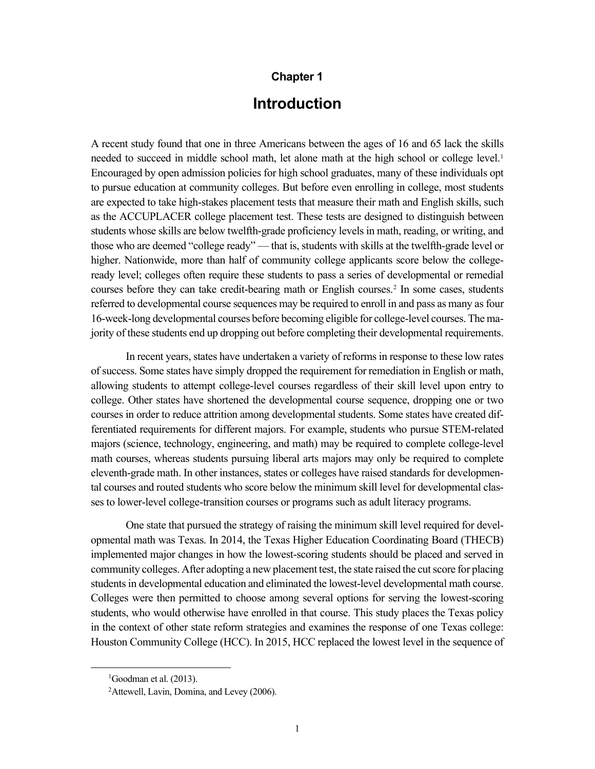#### **Chapter 1**

## **Introduction**

A recent study found that one in three Americans between the ages of 16 and 65 lack the skills needed to succeed in middle school math, let alone math at the high school or college level. [1](#page-10-0) Encouraged by open admission policies for high school graduates, many of these individuals opt to pursue education at community colleges. But before even enrolling in college, most students are expected to take high-stakes placement tests that measure their math and English skills, such as the ACCUPLACER college placement test. These tests are designed to distinguish between students whose skills are below twelfth-grade proficiency levels in math, reading, or writing, and those who are deemed "college ready" — that is, students with skills at the twelfth-grade level or higher. Nationwide, more than half of community college applicants score below the collegeready level; colleges often require these students to pass a series of developmental or remedial courses before they can take credit-bearing math or English courses. [2](#page-10-1) In some cases, students referred to developmental course sequences may be required to enroll in and pass as many as four 16-week-long developmental courses before becoming eligible for college-level courses. The majority of these students end up dropping out before completing their developmental requirements.

In recent years, states have undertaken a variety of reforms in response to these low rates of success. Some states have simply dropped the requirement for remediation in English or math, allowing students to attempt college-level courses regardless of their skill level upon entry to college. Other states have shortened the developmental course sequence, dropping one or two courses in order to reduce attrition among developmental students. Some states have created differentiated requirements for different majors. For example, students who pursue STEM-related majors (science, technology, engineering, and math) may be required to complete college-level math courses, whereas students pursuing liberal arts majors may only be required to complete eleventh-grade math. In other instances, states or colleges have raised standards for developmental courses and routed students who score below the minimum skill level for developmental classes to lower-level college-transition courses or programs such as adult literacy programs.

One state that pursued the strategy of raising the minimum skill level required for developmental math was Texas. In 2014, the Texas Higher Education Coordinating Board (THECB) implemented major changes in how the lowest-scoring students should be placed and served in community colleges. After adopting a new placement test, the state raised the cut score for placing students in developmental education and eliminated the lowest-level developmental math course. Colleges were then permitted to choose among several options for serving the lowest-scoring students, who would otherwise have enrolled in that course. This study places the Texas policy in the context of other state reform strategies and examines the response of one Texas college: Houston Community College (HCC). In 2015, HCC replaced the lowest level in the sequence of

<span id="page-10-0"></span><sup>&</sup>lt;sup>1</sup>Goodman et al. (2013).

<span id="page-10-1"></span><sup>&</sup>lt;sup>2</sup>Attewell, Lavin, Domina, and Levey (2006).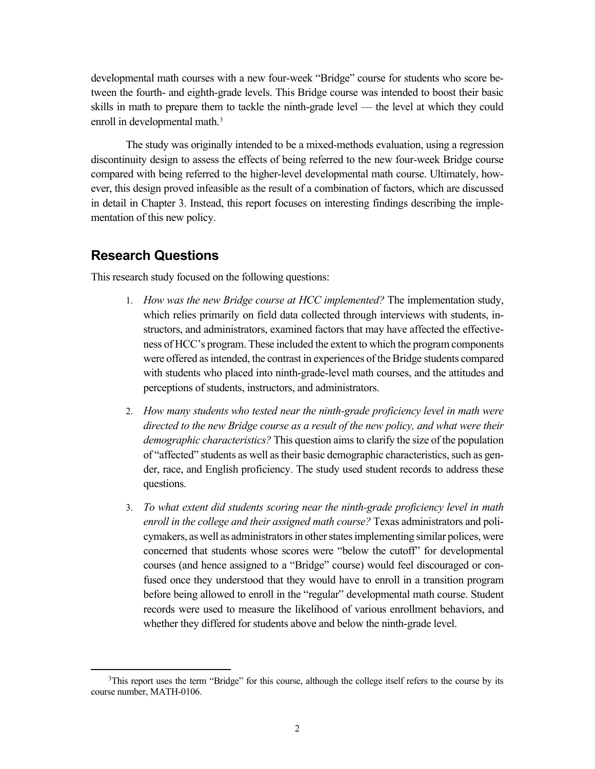developmental math courses with a new four-week "Bridge" course for students who score between the fourth- and eighth-grade levels. This Bridge course was intended to boost their basic skills in math to prepare them to tackle the ninth-grade level — the level at which they could enroll in developmental math.<sup>[3](#page-11-0)</sup>

The study was originally intended to be a mixed-methods evaluation, using a regression discontinuity design to assess the effects of being referred to the new four-week Bridge course compared with being referred to the higher-level developmental math course. Ultimately, however, this design proved infeasible as the result of a combination of factors, which are discussed in detail in Chapter 3. Instead, this report focuses on interesting findings describing the implementation of this new policy.

### **Research Questions**

This research study focused on the following questions:

- 1. *How was the new Bridge course at HCC implemented?* The implementation study, which relies primarily on field data collected through interviews with students, instructors, and administrators, examined factors that may have affected the effectiveness of HCC's program. These included the extent to which the program components were offered as intended, the contrast in experiences of the Bridge students compared with students who placed into ninth-grade-level math courses, and the attitudes and perceptions of students, instructors, and administrators.
- 2. *How many students who tested near the ninth-grade proficiency level in math were directed to the new Bridge course as a result of the new policy, and what were their demographic characteristics?* This question aims to clarify the size of the population of "affected" students as well as their basic demographic characteristics, such as gender, race, and English proficiency. The study used student records to address these questions.
- 3. *To what extent did students scoring near the ninth-grade proficiency level in math enroll in the college and their assigned math course?* Texas administrators and policymakers, as well as administrators in other states implementing similar polices, were concerned that students whose scores were "below the cutoff" for developmental courses (and hence assigned to a "Bridge" course) would feel discouraged or confused once they understood that they would have to enroll in a transition program before being allowed to enroll in the "regular" developmental math course. Student records were used to measure the likelihood of various enrollment behaviors, and whether they differed for students above and below the ninth-grade level.

<span id="page-11-0"></span><sup>&</sup>lt;sup>3</sup>This report uses the term "Bridge" for this course, although the college itself refers to the course by its course number, MATH-0106.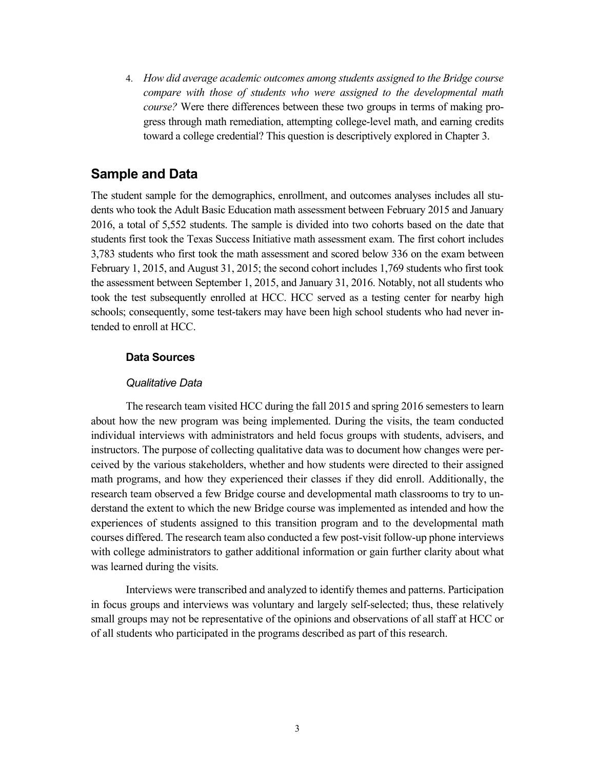4. *How did average academic outcomes among students assigned to the Bridge course compare with those of students who were assigned to the developmental math course?* Were there differences between these two groups in terms of making progress through math remediation, attempting college-level math, and earning credits toward a college credential? This question is descriptively explored in Chapter 3.

### **Sample and Data**

The student sample for the demographics, enrollment, and outcomes analyses includes all students who took the Adult Basic Education math assessment between February 2015 and January 2016, a total of 5,552 students. The sample is divided into two cohorts based on the date that students first took the Texas Success Initiative math assessment exam. The first cohort includes 3,783 students who first took the math assessment and scored below 336 on the exam between February 1, 2015, and August 31, 2015; the second cohort includes 1,769 students who first took the assessment between September 1, 2015, and January 31, 2016. Notably, not all students who took the test subsequently enrolled at HCC. HCC served as a testing center for nearby high schools; consequently, some test-takers may have been high school students who had never intended to enroll at HCC.

#### **Data Sources**

#### *Qualitative Data*

The research team visited HCC during the fall 2015 and spring 2016 semesters to learn about how the new program was being implemented. During the visits, the team conducted individual interviews with administrators and held focus groups with students, advisers, and instructors. The purpose of collecting qualitative data was to document how changes were perceived by the various stakeholders, whether and how students were directed to their assigned math programs, and how they experienced their classes if they did enroll. Additionally, the research team observed a few Bridge course and developmental math classrooms to try to understand the extent to which the new Bridge course was implemented as intended and how the experiences of students assigned to this transition program and to the developmental math courses differed. The research team also conducted a few post-visit follow-up phone interviews with college administrators to gather additional information or gain further clarity about what was learned during the visits.

Interviews were transcribed and analyzed to identify themes and patterns. Participation in focus groups and interviews was voluntary and largely self-selected; thus, these relatively small groups may not be representative of the opinions and observations of all staff at HCC or of all students who participated in the programs described as part of this research.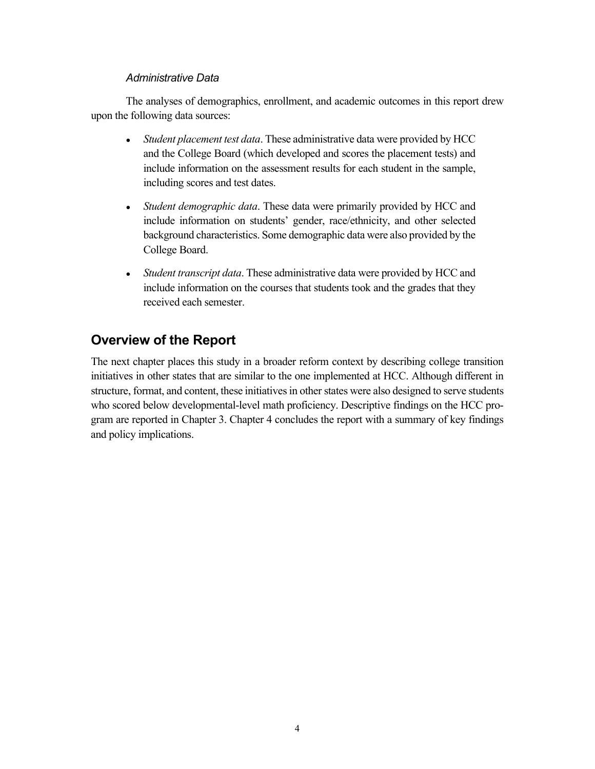#### *Administrative Data*

The analyses of demographics, enrollment, and academic outcomes in this report drew upon the following data sources:

- Student placement test data. These administrative data were provided by HCC and the College Board (which developed and scores the placement tests) and include information on the assessment results for each student in the sample, including scores and test dates.
- *Student demographic data*. These data were primarily provided by HCC and include information on students' gender, race/ethnicity, and other selected background characteristics. Some demographic data were also provided by the College Board.
- *Student transcript data*. These administrative data were provided by HCC and include information on the courses that students took and the grades that they received each semester.

# **Overview of the Report**

The next chapter places this study in a broader reform context by describing college transition initiatives in other states that are similar to the one implemented at HCC. Although different in structure, format, and content, these initiatives in other states were also designed to serve students who scored below developmental-level math proficiency. Descriptive findings on the HCC program are reported in Chapter 3. Chapter 4 concludes the report with a summary of key findings and policy implications.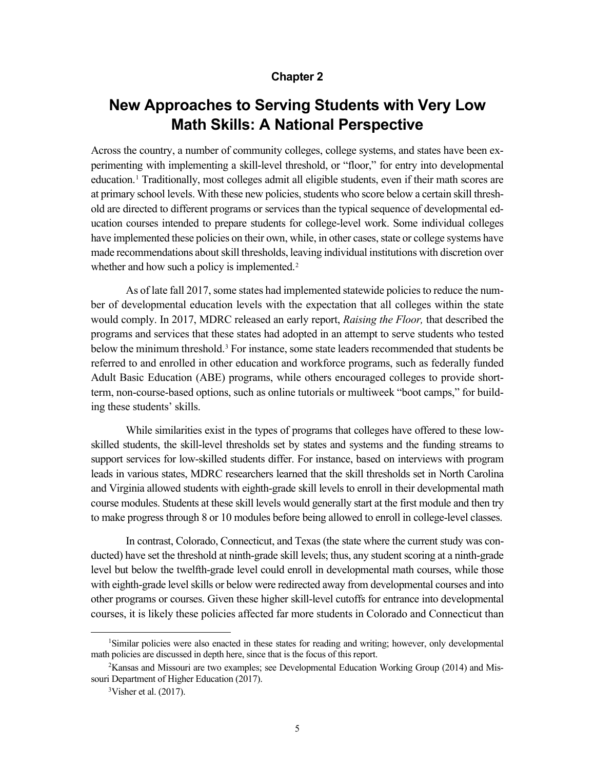#### **Chapter 2**

# **New Approaches to Serving Students with Very Low Math Skills: A National Perspective**

Across the country, a number of community colleges, college systems, and states have been experimenting with implementing a skill-level threshold, or "floor," for entry into developmental education.[1](#page-14-0) Traditionally, most colleges admit all eligible students, even if their math scores are at primary school levels. With these new policies, students who score below a certain skill threshold are directed to different programs or services than the typical sequence of developmental education courses intended to prepare students for college-level work. Some individual colleges have implemented these policies on their own, while, in other cases, state or college systems have made recommendations about skill thresholds, leaving individual institutions with discretion over whether and how such a policy is implemented.<sup>[2](#page-14-1)</sup>

As of late fall 2017, some states had implemented statewide policies to reduce the number of developmental education levels with the expectation that all colleges within the state would comply. In 2017, MDRC released an early report, *Raising the Floor,* that described the programs and services that these states had adopted in an attempt to serve students who tested below the minimum threshold.[3](#page-14-2) For instance, some state leaders recommended that students be referred to and enrolled in other education and workforce programs, such as federally funded Adult Basic Education (ABE) programs, while others encouraged colleges to provide shortterm, non-course-based options, such as online tutorials or multiweek "boot camps," for building these students' skills.

While similarities exist in the types of programs that colleges have offered to these lowskilled students, the skill-level thresholds set by states and systems and the funding streams to support services for low-skilled students differ. For instance, based on interviews with program leads in various states, MDRC researchers learned that the skill thresholds set in North Carolina and Virginia allowed students with eighth-grade skill levels to enroll in their developmental math course modules. Students at these skill levels would generally start at the first module and then try to make progress through 8 or 10 modules before being allowed to enroll in college-level classes.

In contrast, Colorado, Connecticut, and Texas (the state where the current study was conducted) have set the threshold at ninth-grade skill levels; thus, any student scoring at a ninth-grade level but below the twelfth-grade level could enroll in developmental math courses, while those with eighth-grade level skills or below were redirected away from developmental courses and into other programs or courses. Given these higher skill-level cutoffs for entrance into developmental courses, it is likely these policies affected far more students in Colorado and Connecticut than

<span id="page-14-0"></span><sup>1</sup> Similar policies were also enacted in these states for reading and writing; however, only developmental math policies are discussed in depth here, since that is the focus of this report.

<span id="page-14-2"></span><span id="page-14-1"></span><sup>&</sup>lt;sup>2</sup>Kansas and Missouri are two examples; see Developmental Education Working Group (2014) and Missouri Department of Higher Education (2017).

 $3V$ isher et al. (2017).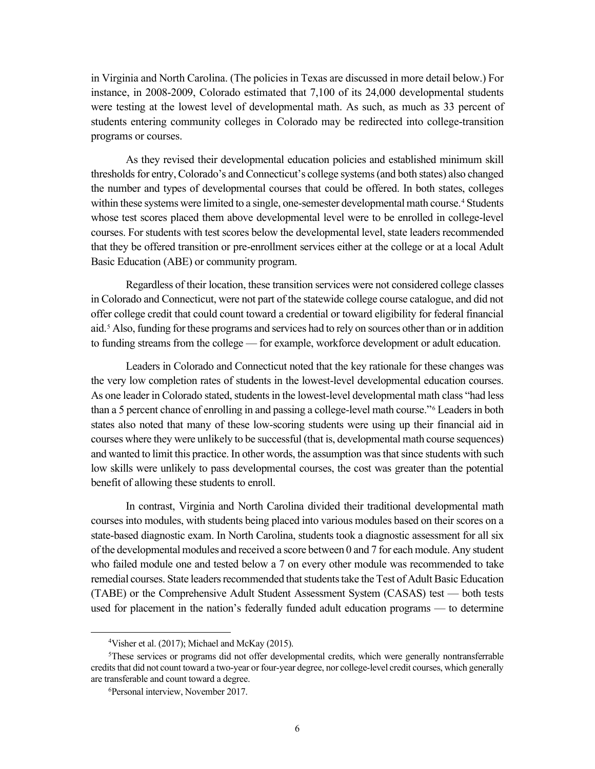in Virginia and North Carolina. (The policies in Texas are discussed in more detail below.) For instance, in 2008-2009, Colorado estimated that 7,100 of its 24,000 developmental students were testing at the lowest level of developmental math. As such, as much as 33 percent of students entering community colleges in Colorado may be redirected into college-transition programs or courses.

As they revised their developmental education policies and established minimum skill thresholds for entry, Colorado's and Connecticut's college systems (and both states) also changed the number and types of developmental courses that could be offered. In both states, colleges within these systems were limited to a single, one-semester developmental math course.<sup>[4](#page-15-0)</sup> Students whose test scores placed them above developmental level were to be enrolled in college-level courses. For students with test scores below the developmental level, state leaders recommended that they be offered transition or pre-enrollment services either at the college or at a local Adult Basic Education (ABE) or community program.

Regardless of their location, these transition services were not considered college classes in Colorado and Connecticut, were not part of the statewide college course catalogue, and did not offer college credit that could count toward a credential or toward eligibility for federal financial aid.[5](#page-15-1) Also, funding for these programs and services had to rely on sources other than or in addition to funding streams from the college — for example, workforce development or adult education.

Leaders in Colorado and Connecticut noted that the key rationale for these changes was the very low completion rates of students in the lowest-level developmental education courses. As one leader in Colorado stated, students in the lowest-level developmental math class "had less than a 5 percent chance of enrolling in and passing a college-level math course."[6](#page-15-2) Leaders in both states also noted that many of these low-scoring students were using up their financial aid in courses where they were unlikely to be successful (that is, developmental math course sequences) and wanted to limit this practice. In other words, the assumption was that since students with such low skills were unlikely to pass developmental courses, the cost was greater than the potential benefit of allowing these students to enroll.

In contrast, Virginia and North Carolina divided their traditional developmental math courses into modules, with students being placed into various modules based on their scores on a state-based diagnostic exam. In North Carolina, students took a diagnostic assessment for all six of the developmental modules and received a score between 0 and 7 for each module. Any student who failed module one and tested below a 7 on every other module was recommended to take remedial courses. State leaders recommended that students take the Test of Adult Basic Education (TABE) or the Comprehensive Adult Student Assessment System (CASAS) test — both tests used for placement in the nation's federally funded adult education programs — to determine

 $4$ Visher et al. (2017); Michael and McKay (2015).

<span id="page-15-2"></span><span id="page-15-1"></span><span id="page-15-0"></span><sup>&</sup>lt;sup>5</sup>These services or programs did not offer developmental credits, which were generally nontransferrable credits that did not count toward a two-year or four-year degree, nor college-level credit courses, which generally are transferable and count toward a degree.

<sup>6</sup> Personal interview, November 2017.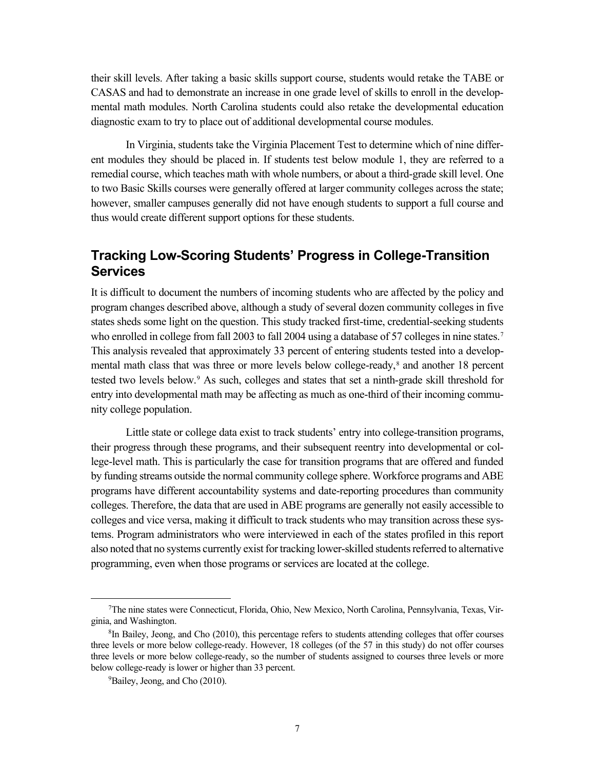their skill levels. After taking a basic skills support course, students would retake the TABE or CASAS and had to demonstrate an increase in one grade level of skills to enroll in the developmental math modules. North Carolina students could also retake the developmental education diagnostic exam to try to place out of additional developmental course modules.

In Virginia, students take the Virginia Placement Test to determine which of nine different modules they should be placed in. If students test below module 1, they are referred to a remedial course, which teaches math with whole numbers, or about a third-grade skill level. One to two Basic Skills courses were generally offered at larger community colleges across the state; however, smaller campuses generally did not have enough students to support a full course and thus would create different support options for these students.

## **Tracking Low-Scoring Students' Progress in College-Transition Services**

It is difficult to document the numbers of incoming students who are affected by the policy and program changes described above, although a study of several dozen community colleges in five states sheds some light on the question. This study tracked first-time, credential-seeking students who enrolled in college from fall 2003 to fall 2004 using a database of 5[7](#page-16-0) colleges in nine states.<sup>7</sup> This analysis revealed that approximately 33 percent of entering students tested into a developmental math class that was three or more levels below college-ready, [8](#page-16-1) and another 18 percent tested two levels below.[9](#page-16-2) As such, colleges and states that set a ninth-grade skill threshold for entry into developmental math may be affecting as much as one-third of their incoming community college population.

Little state or college data exist to track students' entry into college-transition programs, their progress through these programs, and their subsequent reentry into developmental or college-level math. This is particularly the case for transition programs that are offered and funded by funding streams outside the normal community college sphere. Workforce programs and ABE programs have different accountability systems and date-reporting procedures than community colleges. Therefore, the data that are used in ABE programs are generally not easily accessible to colleges and vice versa, making it difficult to track students who may transition across these systems. Program administrators who were interviewed in each of the states profiled in this report also noted that no systems currently exist for tracking lower-skilled students referred to alternative programming, even when those programs or services are located at the college.

<span id="page-16-0"></span><sup>7</sup> The nine states were Connecticut, Florida, Ohio, New Mexico, North Carolina, Pennsylvania, Texas, Virginia, and Washington.

<span id="page-16-2"></span><span id="page-16-1"></span><sup>&</sup>lt;sup>8</sup>In Bailey, Jeong, and Cho (2010), this percentage refers to students attending colleges that offer courses three levels or more below college-ready. However, 18 colleges (of the 57 in this study) do not offer courses three levels or more below college-ready, so the number of students assigned to courses three levels or more below college-ready is lower or higher than 33 percent.

<sup>&</sup>lt;sup>9</sup>Bailey, Jeong, and Cho (2010).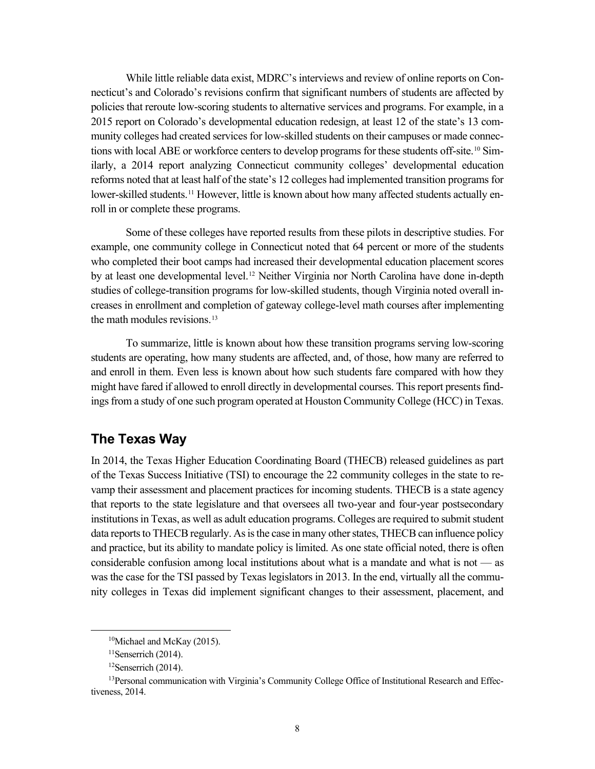While little reliable data exist, MDRC's interviews and review of online reports on Connecticut's and Colorado's revisions confirm that significant numbers of students are affected by policies that reroute low-scoring students to alternative services and programs. For example, in a 2015 report on Colorado's developmental education redesign, at least 12 of the state's 13 community colleges had created services for low-skilled students on their campuses or made connections with local ABE or workforce centers to develop programs for these students off-site.[10](#page-17-0) Similarly, a 2014 report analyzing Connecticut community colleges' developmental education reforms noted that at least half of the state's 12 colleges had implemented transition programs for lower-skilled students.<sup>[11](#page-17-1)</sup> However, little is known about how many affected students actually enroll in or complete these programs.

Some of these colleges have reported results from these pilots in descriptive studies. For example, one community college in Connecticut noted that 64 percent or more of the students who completed their boot camps had increased their developmental education placement scores by at least one developmental level.[12](#page-17-2) Neither Virginia nor North Carolina have done in-depth studies of college-transition programs for low-skilled students, though Virginia noted overall increases in enrollment and completion of gateway college-level math courses after implementing the math modules revisions. [13](#page-17-3)

To summarize, little is known about how these transition programs serving low-scoring students are operating, how many students are affected, and, of those, how many are referred to and enroll in them. Even less is known about how such students fare compared with how they might have fared if allowed to enroll directly in developmental courses. This report presents findings from a study of one such program operated at Houston Community College (HCC) in Texas.

### **The Texas Way**

In 2014, the Texas Higher Education Coordinating Board (THECB) released guidelines as part of the Texas Success Initiative (TSI) to encourage the 22 community colleges in the state to revamp their assessment and placement practices for incoming students. THECB is a state agency that reports to the state legislature and that oversees all two-year and four-year postsecondary institutions in Texas, as well as adult education programs. Colleges are required to submit student data reports to THECB regularly. As is the case in many other states, THECB can influence policy and practice, but its ability to mandate policy is limited. As one state official noted, there is often considerable confusion among local institutions about what is a mandate and what is not — as was the case for the TSI passed by Texas legislators in 2013. In the end, virtually all the community colleges in Texas did implement significant changes to their assessment, placement, and

<sup>10</sup>Michael and McKay (2015).

 $11$ Senserrich (2014).

<sup>12</sup>Senserrich (2014).

<span id="page-17-3"></span><span id="page-17-2"></span><span id="page-17-1"></span><span id="page-17-0"></span><sup>&</sup>lt;sup>13</sup> Personal communication with Virginia's Community College Office of Institutional Research and Effectiveness, 2014.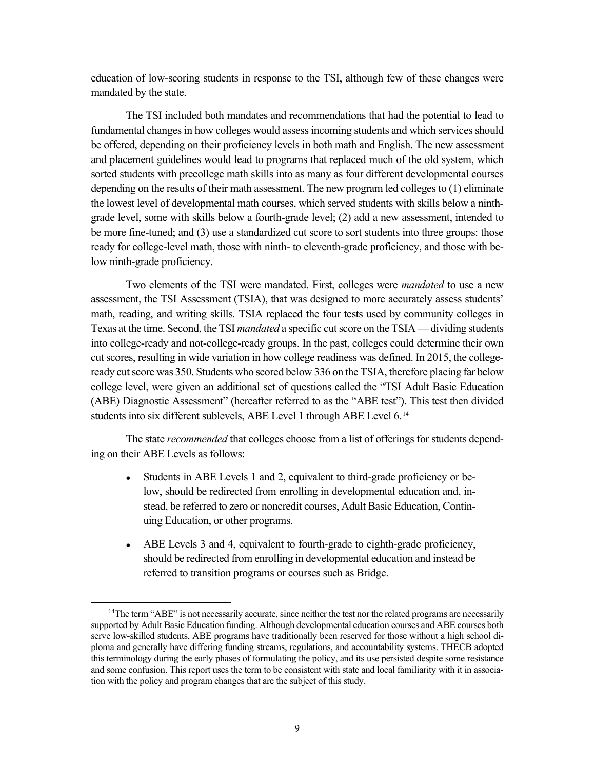education of low-scoring students in response to the TSI, although few of these changes were mandated by the state.

The TSI included both mandates and recommendations that had the potential to lead to fundamental changes in how colleges would assess incoming students and which services should be offered, depending on their proficiency levels in both math and English. The new assessment and placement guidelines would lead to programs that replaced much of the old system, which sorted students with precollege math skills into as many as four different developmental courses depending on the results of their math assessment. The new program led colleges to (1) eliminate the lowest level of developmental math courses, which served students with skills below a ninthgrade level, some with skills below a fourth-grade level; (2) add a new assessment, intended to be more fine-tuned; and (3) use a standardized cut score to sort students into three groups: those ready for college-level math, those with ninth- to eleventh-grade proficiency, and those with below ninth-grade proficiency.

Two elements of the TSI were mandated. First, colleges were *mandated* to use a new assessment, the TSI Assessment (TSIA), that was designed to more accurately assess students' math, reading, and writing skills. TSIA replaced the four tests used by community colleges in Texas at the time. Second, the TSI *mandated* a specific cut score on the TSIA — dividing students into college-ready and not-college-ready groups. In the past, colleges could determine their own cut scores, resulting in wide variation in how college readiness was defined. In 2015, the collegeready cut score was 350. Students who scored below 336 on the TSIA, therefore placing far below college level, were given an additional set of questions called the "TSI Adult Basic Education (ABE) Diagnostic Assessment" (hereafter referred to as the "ABE test"). This test then divided students into six different sublevels, ABE Level 1 through ABE Level 6.<sup>[14](#page-18-0)</sup>

The state *recommended* that colleges choose from a list of offerings for students depending on their ABE Levels as follows:

- Students in ABE Levels 1 and 2, equivalent to third-grade proficiency or below, should be redirected from enrolling in developmental education and, instead, be referred to zero or noncredit courses, Adult Basic Education, Continuing Education, or other programs.
- ABE Levels 3 and 4, equivalent to fourth-grade to eighth-grade proficiency, should be redirected from enrolling in developmental education and instead be referred to transition programs or courses such as Bridge.

<span id="page-18-0"></span><sup>&</sup>lt;sup>14</sup>The term "ABE" is not necessarily accurate, since neither the test nor the related programs are necessarily supported by Adult Basic Education funding. Although developmental education courses and ABE courses both serve low-skilled students, ABE programs have traditionally been reserved for those without a high school diploma and generally have differing funding streams, regulations, and accountability systems. THECB adopted this terminology during the early phases of formulating the policy, and its use persisted despite some resistance and some confusion. This report uses the term to be consistent with state and local familiarity with it in association with the policy and program changes that are the subject of this study.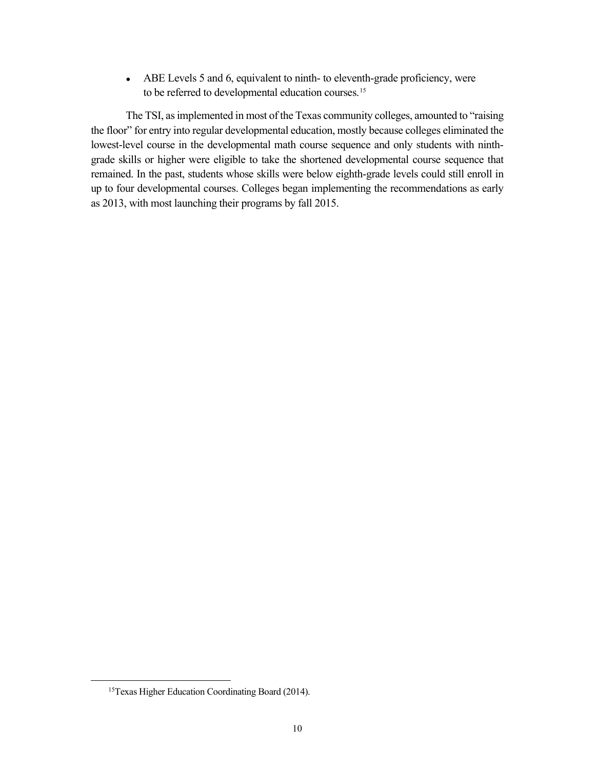• ABE Levels 5 and 6, equivalent to ninth- to eleventh-grade proficiency, were to be referred to developmental education courses.<sup>[15](#page-19-0)</sup>

The TSI, as implemented in most of the Texas community colleges, amounted to "raising the floor" for entry into regular developmental education, mostly because colleges eliminated the lowest-level course in the developmental math course sequence and only students with ninthgrade skills or higher were eligible to take the shortened developmental course sequence that remained. In the past, students whose skills were below eighth-grade levels could still enroll in up to four developmental courses. Colleges began implementing the recommendations as early as 2013, with most launching their programs by fall 2015.

<span id="page-19-0"></span><sup>15</sup>Texas Higher Education Coordinating Board (2014).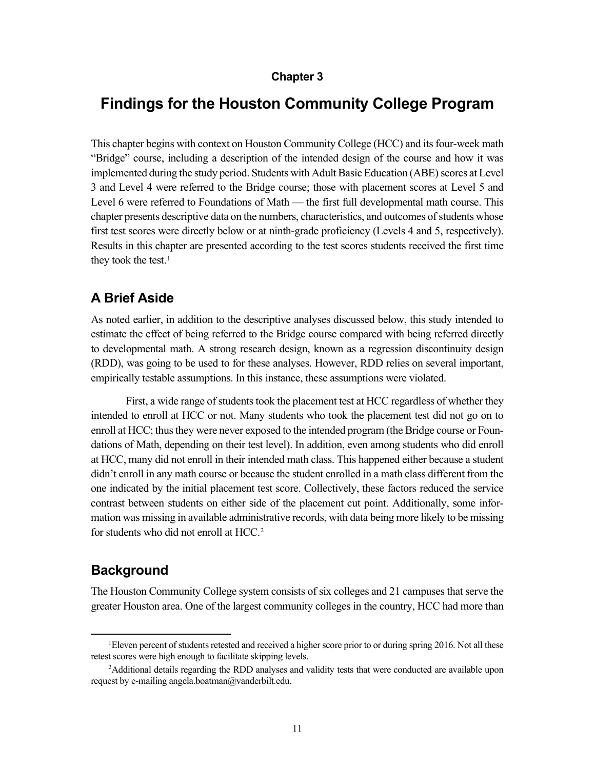#### **Chapter 3**

## **Findings for the Houston Community College Program**

This chapter begins with context on Houston Community College (HCC) and its four-week math "Bridge" course, including a description of the intended design of the course and how it was implemented during the study period. Students with Adult Basic Education (ABE) scores at Level 3 and Level 4 were referred to the Bridge course; those with placement scores at Level 5 and Level 6 were referred to Foundations of Math — the first full developmental math course. This chapter presents descriptive data on the numbers, characteristics, and outcomes of students whose first test scores were directly below or at ninth-grade proficiency (Levels 4 and 5, respectively). Results in this chapter are presented according to the test scores students received the first time they took the test. [1](#page-20-0)

### **A Brief Aside**

As noted earlier, in addition to the descriptive analyses discussed below, this study intended to estimate the effect of being referred to the Bridge course compared with being referred directly to developmental math. A strong research design, known as a regression discontinuity design (RDD), was going to be used to for these analyses. However, RDD relies on several important, empirically testable assumptions. In this instance, these assumptions were violated.

First, a wide range of students took the placement test at HCC regardless of whether they intended to enroll at HCC or not. Many students who took the placement test did not go on to enroll at HCC; thus they were never exposed to the intended program (the Bridge course or Foundations of Math, depending on their test level). In addition, even among students who did enroll at HCC, many did not enroll in their intended math class. This happened either because a student didn't enroll in any math course or because the student enrolled in a math class different from the one indicated by the initial placement test score. Collectively, these factors reduced the service contrast between students on either side of the placement cut point. Additionally, some information was missing in available administrative records, with data being more likely to be missing for students who did not enroll at HCC.<sup>[2](#page-20-1)</sup>

### **Background**

The Houston Community College system consists of six colleges and 21 campuses that serve the greater Houston area. One of the largest community colleges in the country, HCC had more than

<span id="page-20-0"></span><sup>&</sup>lt;sup>1</sup>Eleven percent of students retested and received a higher score prior to or during spring 2016. Not all these retest scores were high enough to facilitate skipping levels.

<span id="page-20-1"></span><sup>2</sup> Additional details regarding the RDD analyses and validity tests that were conducted are available upon request by e-mailing angela.boatman@vanderbilt.edu.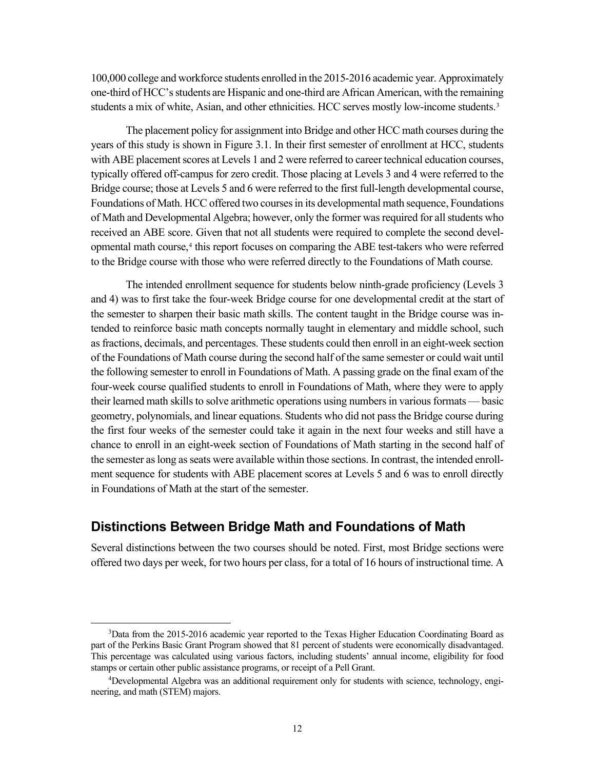100,000 college and workforce students enrolled in the 2015-2016 academic year. Approximately one-third of HCC's students are Hispanic and one-third are African American, with the remaining students a mix of white, Asian, and other ethnicities. HCC serves mostly low-income students.<sup>[3](#page-21-0)</sup>

The placement policy for assignment into Bridge and other HCC math courses during the years of this study is shown in Figure 3.1. In their first semester of enrollment at HCC, students with ABE placement scores at Levels 1 and 2 were referred to career technical education courses, typically offered off-campus for zero credit. Those placing at Levels 3 and 4 were referred to the Bridge course; those at Levels 5 and 6 were referred to the first full-length developmental course, Foundations of Math. HCC offered two courses in its developmental math sequence, Foundations of Math and Developmental Algebra; however, only the former was required for all students who received an ABE score. Given that not all students were required to complete the second developmental math course,[4](#page-21-1) this report focuses on comparing the ABE test-takers who were referred to the Bridge course with those who were referred directly to the Foundations of Math course.

The intended enrollment sequence for students below ninth-grade proficiency (Levels 3 and 4) was to first take the four-week Bridge course for one developmental credit at the start of the semester to sharpen their basic math skills. The content taught in the Bridge course was intended to reinforce basic math concepts normally taught in elementary and middle school, such as fractions, decimals, and percentages. These students could then enroll in an eight-week section of the Foundations of Math course during the second half of the same semester or could wait until the following semester to enroll in Foundations of Math. A passing grade on the final exam of the four-week course qualified students to enroll in Foundations of Math, where they were to apply their learned math skills to solve arithmetic operations using numbers in various formats — basic geometry, polynomials, and linear equations. Students who did not pass the Bridge course during the first four weeks of the semester could take it again in the next four weeks and still have a chance to enroll in an eight-week section of Foundations of Math starting in the second half of the semester aslong as seats were available within those sections. In contrast, the intended enrollment sequence for students with ABE placement scores at Levels 5 and 6 was to enroll directly in Foundations of Math at the start of the semester.

### **Distinctions Between Bridge Math and Foundations of Math**

Several distinctions between the two courses should be noted. First, most Bridge sections were offered two days per week, for two hours per class, for a total of 16 hours of instructional time. A

<span id="page-21-0"></span><sup>&</sup>lt;sup>3</sup>Data from the 2015-2016 academic year reported to the Texas Higher Education Coordinating Board as part of the Perkins Basic Grant Program showed that 81 percent of students were economically disadvantaged. This percentage was calculated using various factors, including students' annual income, eligibility for food stamps or certain other public assistance programs, or receipt of a Pell Grant.

<span id="page-21-1"></span><sup>4</sup> Developmental Algebra was an additional requirement only for students with science, technology, engineering, and math (STEM) majors.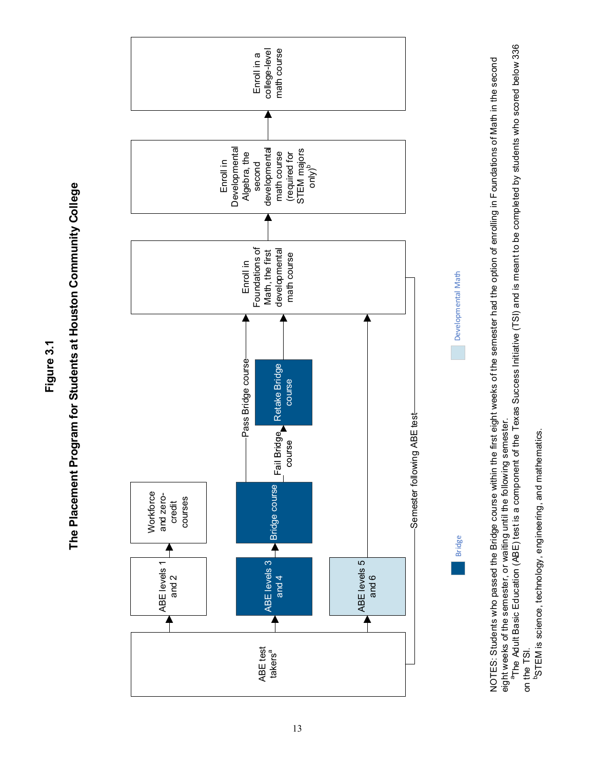**Figure 3.1**





NOTES: Students who passed the Bridge course within the first eight weeks of the semester had the option of enrolling in Foundations of Math in the second NOTES: Students who passed the Bridge course within the first eight weeks of the semester had the option of enrolling in Foundations of Math in the second eight weeks of the semester, or waiting until the following semester. eight weeks of the semester, or waiting until the following semester.

<sup>a</sup>The Adult Basic Education (ABE) test is a component of the Texas Success Initiative (TSI) and is meant to be completed by students who scored below 336 aThe Adult Basic Education (ABE) test is a component of the Texas Success Initiative (TSI) and is meant to be completed by students who scored below 336 on the TSI. on the TSI.

<sup>b</sup>STEM is science, technology, engineering, and mathematics. bSTEM is science, technology, engineering, and mathematics.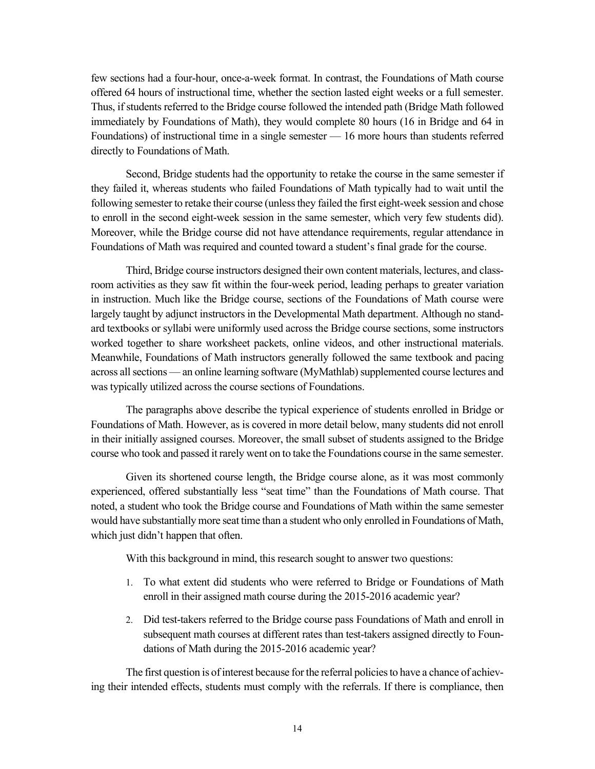few sections had a four-hour, once-a-week format. In contrast, the Foundations of Math course offered 64 hours of instructional time, whether the section lasted eight weeks or a full semester. Thus, if students referred to the Bridge course followed the intended path (Bridge Math followed immediately by Foundations of Math), they would complete 80 hours (16 in Bridge and 64 in Foundations) of instructional time in a single semester — 16 more hours than students referred directly to Foundations of Math.

Second, Bridge students had the opportunity to retake the course in the same semester if they failed it, whereas students who failed Foundations of Math typically had to wait until the following semester to retake their course (unless they failed the first eight-week session and chose to enroll in the second eight-week session in the same semester, which very few students did). Moreover, while the Bridge course did not have attendance requirements, regular attendance in Foundations of Math was required and counted toward a student's final grade for the course.

Third, Bridge course instructors designed their own content materials, lectures, and classroom activities as they saw fit within the four-week period, leading perhaps to greater variation in instruction. Much like the Bridge course, sections of the Foundations of Math course were largely taught by adjunct instructors in the Developmental Math department. Although no standard textbooks or syllabi were uniformly used across the Bridge course sections, some instructors worked together to share worksheet packets, online videos, and other instructional materials. Meanwhile, Foundations of Math instructors generally followed the same textbook and pacing across all sections — an online learning software (MyMathlab) supplemented course lectures and was typically utilized across the course sections of Foundations.

The paragraphs above describe the typical experience of students enrolled in Bridge or Foundations of Math. However, as is covered in more detail below, many students did not enroll in their initially assigned courses. Moreover, the small subset of students assigned to the Bridge course who took and passed it rarely went on to take the Foundations course in the same semester.

Given its shortened course length, the Bridge course alone, as it was most commonly experienced, offered substantially less "seat time" than the Foundations of Math course. That noted, a student who took the Bridge course and Foundations of Math within the same semester would have substantially more seat time than a student who only enrolled in Foundations of Math, which just didn't happen that often.

With this background in mind, this research sought to answer two questions:

- 1. To what extent did students who were referred to Bridge or Foundations of Math enroll in their assigned math course during the 2015-2016 academic year?
- 2. Did test-takers referred to the Bridge course pass Foundations of Math and enroll in subsequent math courses at different rates than test-takers assigned directly to Foundations of Math during the 2015-2016 academic year?

The first question is of interest because for the referral policies to have a chance of achieving their intended effects, students must comply with the referrals. If there is compliance, then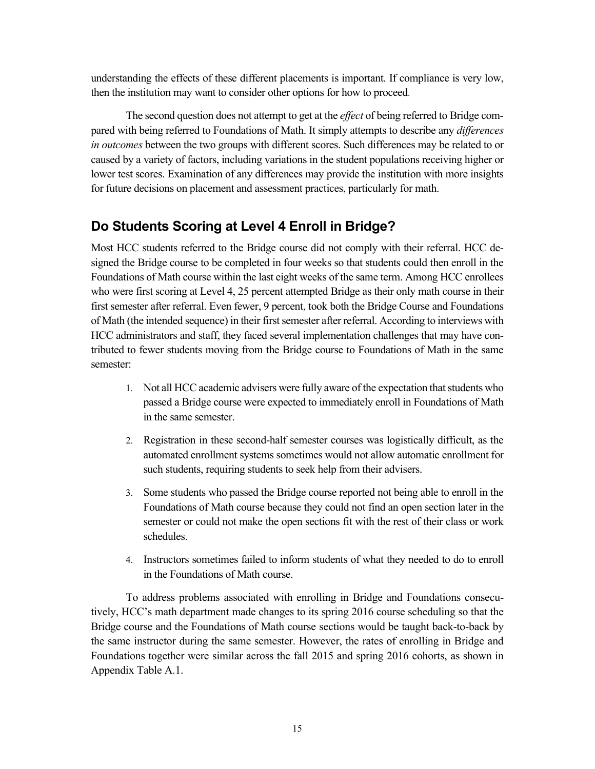understanding the effects of these different placements is important. If compliance is very low, then the institution may want to consider other options for how to proceed.

The second question does not attempt to get at the *effect* of being referred to Bridge compared with being referred to Foundations of Math. It simply attempts to describe any *differences in outcomes* between the two groups with different scores. Such differences may be related to or caused by a variety of factors, including variations in the student populations receiving higher or lower test scores. Examination of any differences may provide the institution with more insights for future decisions on placement and assessment practices, particularly for math.

### **Do Students Scoring at Level 4 Enroll in Bridge?**

Most HCC students referred to the Bridge course did not comply with their referral. HCC designed the Bridge course to be completed in four weeks so that students could then enroll in the Foundations of Math course within the last eight weeks of the same term. Among HCC enrollees who were first scoring at Level 4, 25 percent attempted Bridge as their only math course in their first semester after referral. Even fewer, 9 percent, took both the Bridge Course and Foundations of Math (the intended sequence) in their first semester after referral. According to interviews with HCC administrators and staff, they faced several implementation challenges that may have contributed to fewer students moving from the Bridge course to Foundations of Math in the same semester:

- 1. Not all HCC academic advisers were fully aware of the expectation that students who passed a Bridge course were expected to immediately enroll in Foundations of Math in the same semester.
- 2. Registration in these second-half semester courses was logistically difficult, as the automated enrollment systems sometimes would not allow automatic enrollment for such students, requiring students to seek help from their advisers.
- 3. Some students who passed the Bridge course reported not being able to enroll in the Foundations of Math course because they could not find an open section later in the semester or could not make the open sections fit with the rest of their class or work schedules.
- 4. Instructors sometimes failed to inform students of what they needed to do to enroll in the Foundations of Math course.

To address problems associated with enrolling in Bridge and Foundations consecutively, HCC's math department made changes to its spring 2016 course scheduling so that the Bridge course and the Foundations of Math course sections would be taught back-to-back by the same instructor during the same semester. However, the rates of enrolling in Bridge and Foundations together were similar across the fall 2015 and spring 2016 cohorts, as shown in Appendix Table A.1.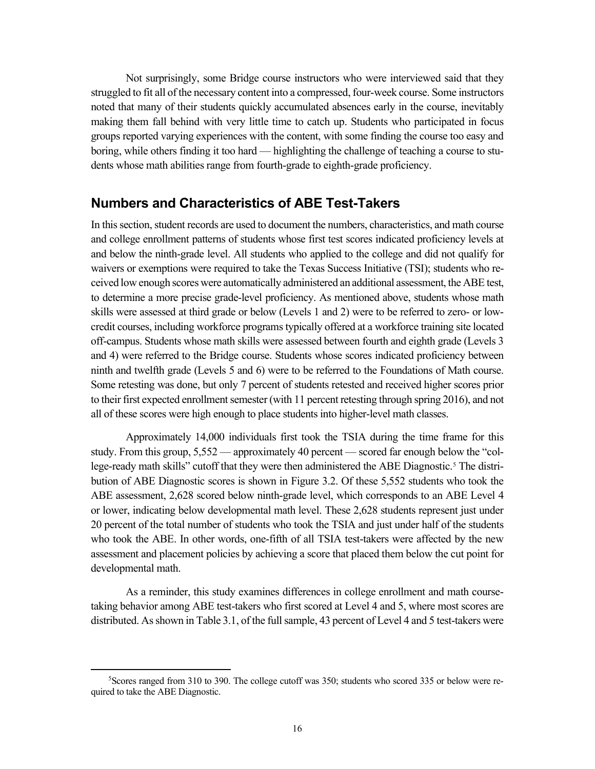Not surprisingly, some Bridge course instructors who were interviewed said that they struggled to fit all of the necessary content into a compressed, four-week course. Some instructors noted that many of their students quickly accumulated absences early in the course, inevitably making them fall behind with very little time to catch up. Students who participated in focus groups reported varying experiences with the content, with some finding the course too easy and boring, while others finding it too hard — highlighting the challenge of teaching a course to students whose math abilities range from fourth-grade to eighth-grade proficiency.

### **Numbers and Characteristics of ABE Test-Takers**

In this section, student records are used to document the numbers, characteristics, and math course and college enrollment patterns of students whose first test scores indicated proficiency levels at and below the ninth-grade level. All students who applied to the college and did not qualify for waivers or exemptions were required to take the Texas Success Initiative (TSI); students who received low enough scores were automatically administered an additional assessment, the ABE test, to determine a more precise grade-level proficiency. As mentioned above, students whose math skills were assessed at third grade or below (Levels 1 and 2) were to be referred to zero- or lowcredit courses, including workforce programs typically offered at a workforce training site located off-campus. Students whose math skills were assessed between fourth and eighth grade (Levels 3 and 4) were referred to the Bridge course. Students whose scores indicated proficiency between ninth and twelfth grade (Levels 5 and 6) were to be referred to the Foundations of Math course. Some retesting was done, but only 7 percent of students retested and received higher scores prior to their first expected enrollment semester (with 11 percent retesting through spring 2016), and not all of these scores were high enough to place students into higher-level math classes.

Approximately 14,000 individuals first took the TSIA during the time frame for this study. From this group, 5,552 — approximately 40 percent — scored far enough below the "college-ready math skills" cutoff that they were then administered the ABE Diagnostic. [5](#page-25-0) The distribution of ABE Diagnostic scores is shown in Figure 3.2. Of these 5,552 students who took the ABE assessment, 2,628 scored below ninth-grade level, which corresponds to an ABE Level 4 or lower, indicating below developmental math level. These 2,628 students represent just under 20 percent of the total number of students who took the TSIA and just under half of the students who took the ABE. In other words, one-fifth of all TSIA test-takers were affected by the new assessment and placement policies by achieving a score that placed them below the cut point for developmental math.

As a reminder, this study examines differences in college enrollment and math coursetaking behavior among ABE test-takers who first scored at Level 4 and 5, where most scores are distributed. As shown in Table 3.1, of the full sample, 43 percent of Level 4 and 5 test-takers were

<span id="page-25-0"></span><sup>5</sup> Scores ranged from 310 to 390. The college cutoff was 350; students who scored 335 or below were required to take the ABE Diagnostic.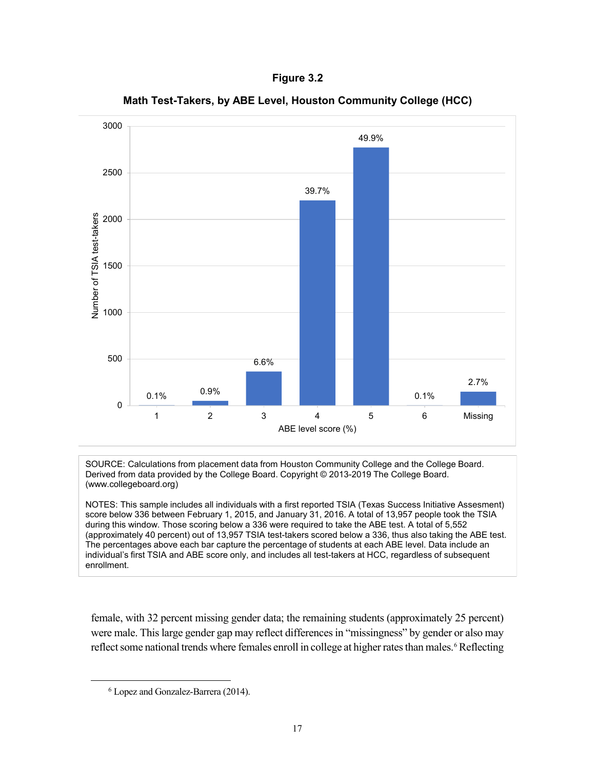**Figure 3.2**



**Math Test-Takers, by ABE Level, Houston Community College (HCC)**

SOURCE: Calculations from placement data from Houston Community College and the College Board. Derived from data provided by the College Board. Copyright © 2013-2019 The College Board. (www.collegeboard.org)

NOTES: This sample includes all individuals with a first reported TSIA (Texas Success Initiative Assesment) score below 336 between February 1, 2015, and January 31, 2016. A total of 13,957 people took the TSIA during this window. Those scoring below a 336 were required to take the ABE test. A total of 5,552 (approximately 40 percent) out of 13,957 TSIA test-takers scored below a 336, thus also taking the ABE test. The percentages above each bar capture the percentage of students at each ABE level. Data include an individual's first TSIA and ABE score only, and includes all test-takers at HCC, regardless of subsequent enrollment.

female, with 32 percent missing gender data; the remaining students (approximately 25 percent) were male. This large gender gap may reflect differences in "missingness" by gender or also may reflect some national trends where females enroll in college at higher rates than males. [6](#page-26-0) Reflecting

<span id="page-26-0"></span><sup>6</sup> Lopez and Gonzalez-Barrera (2014).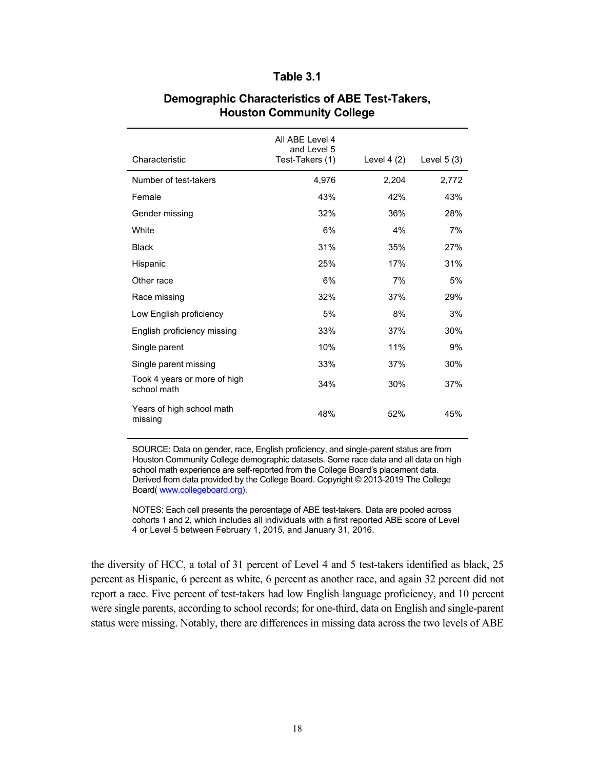#### **Table 3.1**

|                                             | All ABE Level 4<br>and Level 5 |             |              |
|---------------------------------------------|--------------------------------|-------------|--------------|
| Characteristic                              | Test-Takers (1)                | Level 4 (2) | Level $5(3)$ |
| Number of test-takers                       | 4,976                          | 2,204       | 2,772        |
| Female                                      | 43%                            | 42%         | 43%          |
| Gender missing                              | 32%                            | 36%         | 28%          |
| White                                       | 6%                             | 4%          | 7%           |
| <b>Black</b>                                | 31%                            | 35%         | 27%          |
| Hispanic                                    | 25%                            | 17%         | 31%          |
| Other race                                  | 6%                             | 7%          | 5%           |
| Race missing                                | 32%                            | 37%         | 29%          |
| Low English proficiency                     | 5%                             | 8%          | 3%           |
| English proficiency missing                 | 33%                            | 37%         | 30%          |
| Single parent                               | 10%                            | 11%         | 9%           |
| Single parent missing                       | 33%                            | 37%         | 30%          |
| Took 4 years or more of high<br>school math | 34%                            | 30%         | 37%          |
| Years of high school math<br>missing        | 48%                            | 52%         | 45%          |

#### **Demographic Characteristics of ABE Test-Takers, Houston Community College**

SOURCE: Data on gender, race, English proficiency, and single-parent status are from Houston Community College demographic datasets. Some race data and all data on high school math experience are self-reported from the College Board's placement data. Derived from data provided by the College Board. Copyright © 2013-2019 The College Board( [www.collegeboard.org\)](http://www.collegeboard.org/).

NOTES: Each cell presents the percentage of ABE test-takers. Data are pooled across cohorts 1 and 2, which includes all individuals with a first reported ABE score of Level 4 or Level 5 between February 1, 2015, and January 31, 2016.

the diversity of HCC, a total of 31 percent of Level 4 and 5 test-takers identified as black, 25 percent as Hispanic, 6 percent as white, 6 percent as another race, and again 32 percent did not report a race. Five percent of test-takers had low English language proficiency, and 10 percent were single parents, according to school records; for one-third, data on English and single-parent status were missing. Notably, there are differences in missing data across the two levels of ABE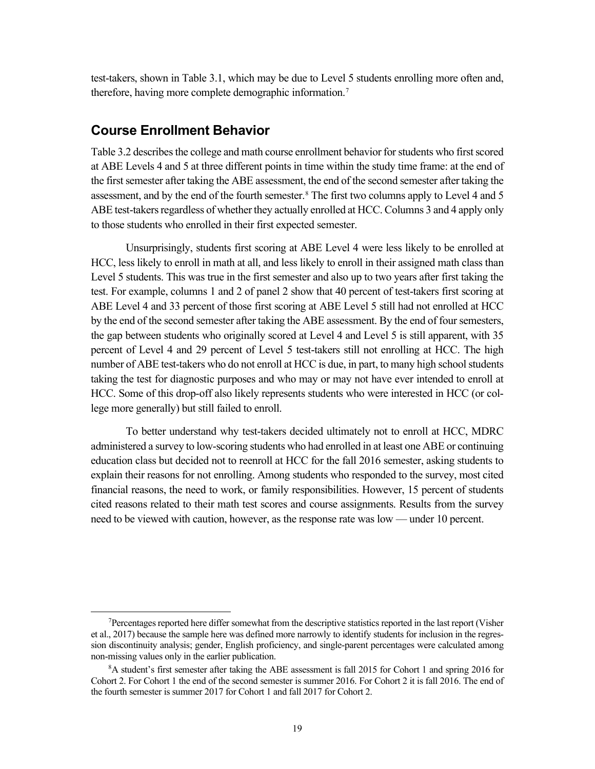test-takers, shown in Table 3.1, which may be due to Level 5 students enrolling more often and, therefore, having more complete demographic information. [7](#page-28-0)

### **Course Enrollment Behavior**

Table 3.2 describes the college and math course enrollment behavior for students who first scored at ABE Levels 4 and 5 at three different points in time within the study time frame: at the end of the first semester after taking the ABE assessment, the end of the second semester after taking the assessment, and by the end of the fourth semester.<sup>[8](#page-28-1)</sup> The first two columns apply to Level 4 and 5 ABE test-takers regardless of whether they actually enrolled at HCC. Columns 3 and 4 apply only to those students who enrolled in their first expected semester.

Unsurprisingly, students first scoring at ABE Level 4 were less likely to be enrolled at HCC, less likely to enroll in math at all, and less likely to enroll in their assigned math class than Level 5 students. This was true in the first semester and also up to two years after first taking the test. For example, columns 1 and 2 of panel 2 show that 40 percent of test-takers first scoring at ABE Level 4 and 33 percent of those first scoring at ABE Level 5 still had not enrolled at HCC by the end of the second semester after taking the ABE assessment. By the end of four semesters, the gap between students who originally scored at Level 4 and Level 5 is still apparent, with 35 percent of Level 4 and 29 percent of Level 5 test-takers still not enrolling at HCC. The high number of ABE test-takers who do not enroll at HCC is due, in part, to many high school students taking the test for diagnostic purposes and who may or may not have ever intended to enroll at HCC. Some of this drop-off also likely represents students who were interested in HCC (or college more generally) but still failed to enroll.

To better understand why test-takers decided ultimately not to enroll at HCC, MDRC administered a survey to low-scoring students who had enrolled in at least one ABE or continuing education class but decided not to reenroll at HCC for the fall 2016 semester, asking students to explain their reasons for not enrolling. Among students who responded to the survey, most cited financial reasons, the need to work, or family responsibilities. However, 15 percent of students cited reasons related to their math test scores and course assignments. Results from the survey need to be viewed with caution, however, as the response rate was low — under 10 percent.

<span id="page-28-0"></span><sup>7</sup> Percentages reported here differ somewhat from the descriptive statistics reported in the last report (Visher et al., 2017) because the sample here was defined more narrowly to identify students for inclusion in the regression discontinuity analysis; gender, English proficiency, and single-parent percentages were calculated among non-missing values only in the earlier publication.

<span id="page-28-1"></span><sup>8</sup> A student's first semester after taking the ABE assessment is fall 2015 for Cohort 1 and spring 2016 for Cohort 2. For Cohort 1 the end of the second semester is summer 2016. For Cohort 2 it is fall 2016. The end of the fourth semester is summer 2017 for Cohort 1 and fall 2017 for Cohort 2.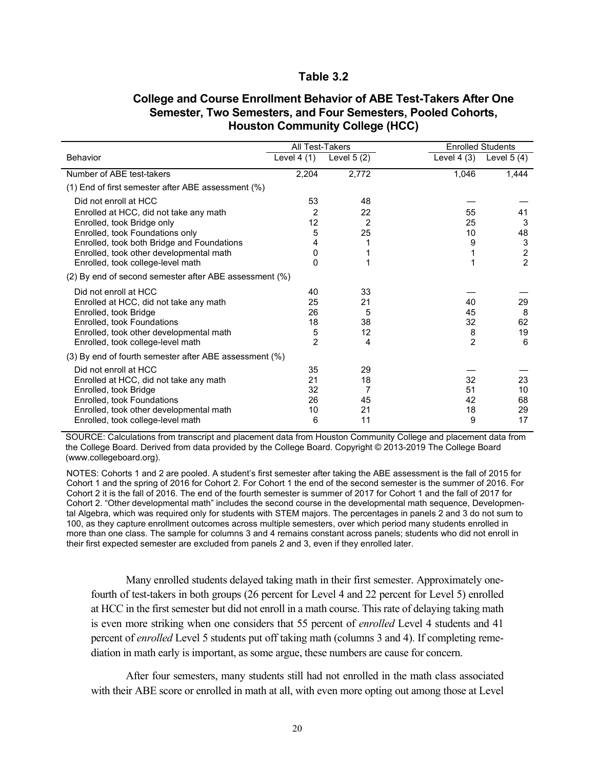#### **Table 3.2**

|                                                        | All Test-Takers |              | <b>Enrolled Students</b> |                  |
|--------------------------------------------------------|-----------------|--------------|--------------------------|------------------|
| <b>Behavior</b>                                        | Level $4(1)$    | Level $5(2)$ | Level $4(3)$             | Level $5(4)$     |
| Number of ABE test-takers                              | 2,204           | 2,772        | 1,046                    | 1,444            |
| (1) End of first semester after ABE assessment (%)     |                 |              |                          |                  |
| Did not enroll at HCC                                  | 53              | 48           |                          |                  |
| Enrolled at HCC, did not take any math                 | 2               | 22           | 55                       | 41               |
| Enrolled, took Bridge only                             | 12              | 2            | 25                       | 3                |
| Enrolled, took Foundations only                        | 5               | 25           | 10                       | 48               |
| Enrolled, took both Bridge and Foundations             | 4               |              | 9                        | 3                |
| Enrolled, took other developmental math                | 0               |              |                          | $\boldsymbol{2}$ |
| Enrolled, took college-level math                      | $\Omega$        | 1            | 1                        | $\overline{2}$   |
| (2) By end of second semester after ABE assessment (%) |                 |              |                          |                  |
| Did not enroll at HCC                                  | 40              | 33           |                          |                  |
| Enrolled at HCC, did not take any math                 | 25              | 21           | 40                       | 29               |
| Enrolled, took Bridge                                  | 26              | 5            | 45                       | 8                |
| Enrolled, took Foundations                             | 18              | 38           | 32                       | 62               |
| Enrolled, took other developmental math                | 5               | 12           | 8                        | 19               |
| Enrolled, took college-level math                      | $\overline{2}$  | 4            | $\overline{2}$           | 6                |
| (3) By end of fourth semester after ABE assessment (%) |                 |              |                          |                  |
| Did not enroll at HCC                                  | 35              | 29           |                          |                  |
| Enrolled at HCC, did not take any math                 | 21              | 18           | 32                       | 23               |
| Enrolled, took Bridge                                  | 32              | 7            | 51                       | 10               |
| Enrolled, took Foundations                             | 26              | 45           | 42                       | 68               |
| Enrolled, took other developmental math                | 10              | 21           | 18                       | 29               |
| Enrolled, took college-level math                      | 6               | 11           | 9                        | 17               |

#### **College and Course Enrollment Behavior of ABE Test-Takers After One Semester, Two Semesters, and Four Semesters, Pooled Cohorts, Houston Community College (HCC)**

SOURCE: Calculations from transcript and placement data from Houston Community College and placement data from the College Board. Derived from data provided by the College Board. Copyright © 2013-2019 The College Board (www.collegeboard.org).

NOTES: Cohorts 1 and 2 are pooled. A student's first semester after taking the ABE assessment is the fall of 2015 for Cohort 1 and the spring of 2016 for Cohort 2. For Cohort 1 the end of the second semester is the summer of 2016. For Cohort 2 it is the fall of 2016. The end of the fourth semester is summer of 2017 for Cohort 1 and the fall of 2017 for Cohort 2. "Other developmental math" includes the second course in the developmental math sequence, Developmental Algebra, which was required only for students with STEM majors. The percentages in panels 2 and 3 do not sum to 100, as they capture enrollment outcomes across multiple semesters, over which period many students enrolled in more than one class. The sample for columns 3 and 4 remains constant across panels; students who did not enroll in their first expected semester are excluded from panels 2 and 3, even if they enrolled later.

Many enrolled students delayed taking math in their first semester. Approximately onefourth of test-takers in both groups (26 percent for Level 4 and 22 percent for Level 5) enrolled at HCC in the first semester but did not enroll in a math course. This rate of delaying taking math is even more striking when one considers that 55 percent of *enrolled* Level 4 students and 41 percent of *enrolled* Level 5 students put off taking math (columns 3 and 4). If completing remediation in math early is important, as some argue, these numbers are cause for concern.

After four semesters, many students still had not enrolled in the math class associated with their ABE score or enrolled in math at all, with even more opting out among those at Level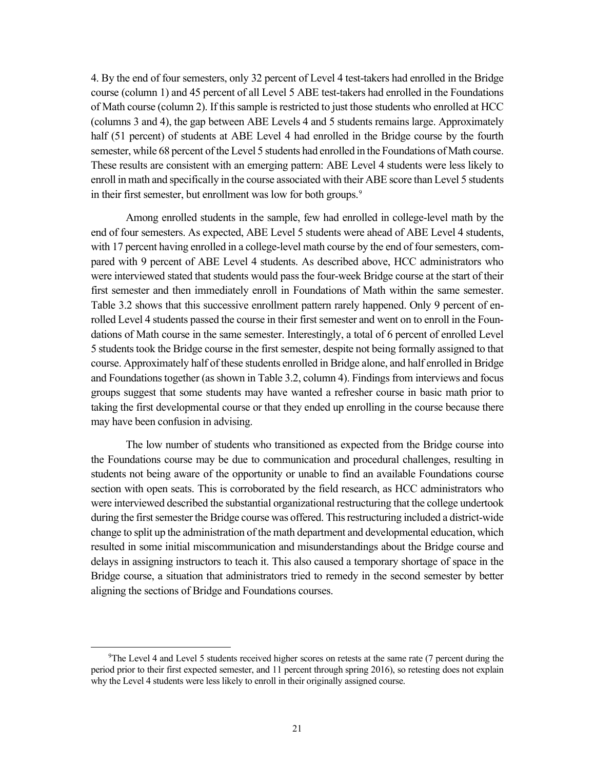4. By the end of four semesters, only 32 percent of Level 4 test-takers had enrolled in the Bridge course (column 1) and 45 percent of all Level 5 ABE test-takers had enrolled in the Foundations of Math course (column 2). If this sample is restricted to just those students who enrolled at HCC (columns 3 and 4), the gap between ABE Levels 4 and 5 students remains large. Approximately half (51 percent) of students at ABE Level 4 had enrolled in the Bridge course by the fourth semester, while 68 percent of the Level 5 students had enrolled in the Foundations of Math course. These results are consistent with an emerging pattern: ABE Level 4 students were less likely to enroll in math and specifically in the course associated with their ABE score than Level 5 students in their first semester, but enrollment was low for both groups. [9](#page-30-0)

Among enrolled students in the sample, few had enrolled in college-level math by the end of four semesters. As expected, ABE Level 5 students were ahead of ABE Level 4 students, with 17 percent having enrolled in a college-level math course by the end of four semesters, compared with 9 percent of ABE Level 4 students. As described above, HCC administrators who were interviewed stated that students would pass the four-week Bridge course at the start of their first semester and then immediately enroll in Foundations of Math within the same semester. Table 3.2 shows that this successive enrollment pattern rarely happened. Only 9 percent of enrolled Level 4 students passed the course in their first semester and went on to enroll in the Foundations of Math course in the same semester. Interestingly, a total of 6 percent of enrolled Level 5 students took the Bridge course in the first semester, despite not being formally assigned to that course. Approximately half of these students enrolled in Bridge alone, and half enrolled in Bridge and Foundations together (as shown in Table 3.2, column 4). Findings from interviews and focus groups suggest that some students may have wanted a refresher course in basic math prior to taking the first developmental course or that they ended up enrolling in the course because there may have been confusion in advising.

The low number of students who transitioned as expected from the Bridge course into the Foundations course may be due to communication and procedural challenges, resulting in students not being aware of the opportunity or unable to find an available Foundations course section with open seats. This is corroborated by the field research, as HCC administrators who were interviewed described the substantial organizational restructuring that the college undertook during the first semester the Bridge course was offered. This restructuring included a district-wide change to split up the administration of the math department and developmental education, which resulted in some initial miscommunication and misunderstandings about the Bridge course and delays in assigning instructors to teach it. This also caused a temporary shortage of space in the Bridge course, a situation that administrators tried to remedy in the second semester by better aligning the sections of Bridge and Foundations courses.

<span id="page-30-0"></span><sup>&</sup>lt;sup>9</sup>The Level 4 and Level 5 students received higher scores on retests at the same rate (7 percent during the period prior to their first expected semester, and 11 percent through spring 2016), so retesting does not explain why the Level 4 students were less likely to enroll in their originally assigned course.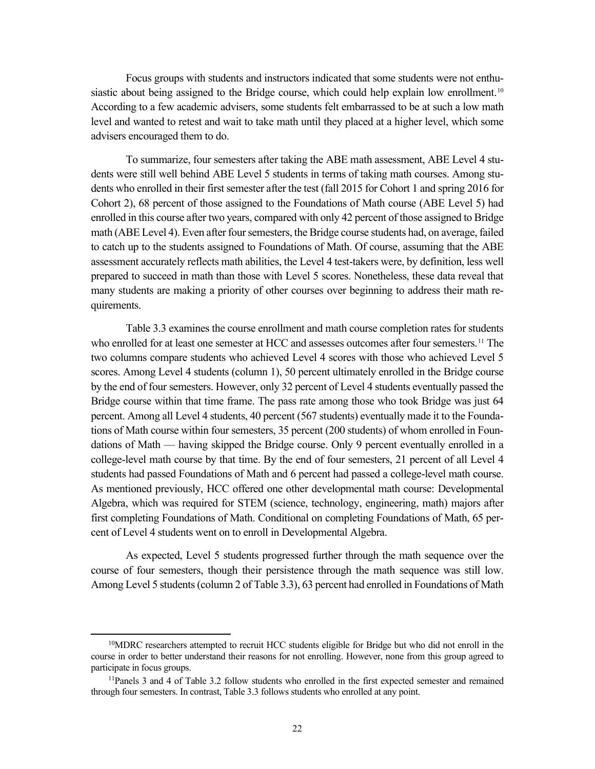Focus groups with students and instructors indicated that some students were not enthu-siastic about being assigned to the Bridge course, which could help explain low enrollment.<sup>[10](#page-31-0)</sup> According to a few academic advisers, some students felt embarrassed to be at such a low math level and wanted to retest and wait to take math until they placed at a higher level, which some advisers encouraged them to do.

To summarize, four semesters after taking the ABE math assessment, ABE Level 4 students were still well behind ABE Level 5 students in terms of taking math courses. Among students who enrolled in their first semester after the test (fall 2015 for Cohort 1 and spring 2016 for Cohort 2), 68 percent of those assigned to the Foundations of Math course (ABE Level 5) had enrolled in this course after two years, compared with only 42 percent of those assigned to Bridge math (ABE Level 4). Even after four semesters, the Bridge course students had, on average, failed to catch up to the students assigned to Foundations of Math. Of course, assuming that the ABE assessment accurately reflects math abilities, the Level 4 test-takers were, by definition, less well prepared to succeed in math than those with Level 5 scores. Nonetheless, these data reveal that many students are making a priority of other courses over beginning to address their math requirements.

Table 3.3 examines the course enrollment and math course completion rates for students who enrolled for at least one semester at HCC and assesses outcomes after four semesters. [11](#page-31-1) The two columns compare students who achieved Level 4 scores with those who achieved Level 5 scores. Among Level 4 students (column 1), 50 percent ultimately enrolled in the Bridge course by the end of four semesters. However, only 32 percent of Level 4 students eventually passed the Bridge course within that time frame. The pass rate among those who took Bridge was just 64 percent. Among all Level 4 students, 40 percent (567 students) eventually made it to the Foundations of Math course within four semesters, 35 percent (200 students) of whom enrolled in Foundations of Math — having skipped the Bridge course. Only 9 percent eventually enrolled in a college-level math course by that time. By the end of four semesters, 21 percent of all Level 4 students had passed Foundations of Math and 6 percent had passed a college-level math course. As mentioned previously, HCC offered one other developmental math course: Developmental Algebra, which was required for STEM (science, technology, engineering, math) majors after first completing Foundations of Math. Conditional on completing Foundations of Math, 65 percent of Level 4 students went on to enroll in Developmental Algebra.

As expected, Level 5 students progressed further through the math sequence over the course of four semesters, though their persistence through the math sequence was still low. Among Level 5 students (column 2 of Table 3.3), 63 percent had enrolled in Foundations of Math

<span id="page-31-0"></span><sup>&</sup>lt;sup>10</sup>MDRC researchers attempted to recruit HCC students eligible for Bridge but who did not enroll in the course in order to better understand their reasons for not enrolling. However, none from this group agreed to participate in focus groups.

<span id="page-31-1"></span><sup>11</sup>Panels 3 and 4 of Table 3.2 follow students who enrolled in the first expected semester and remained through four semesters. In contrast, Table 3.3 follows students who enrolled at any point.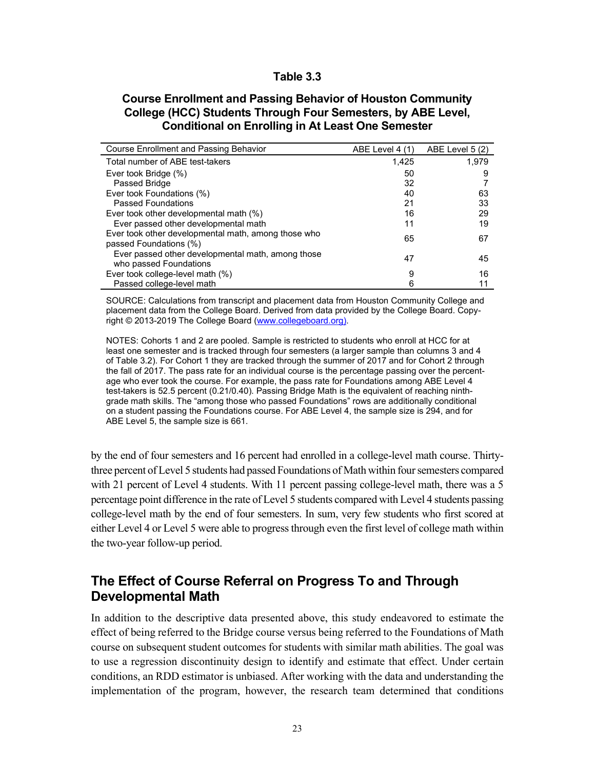#### **Table 3.3**

#### **Course Enrollment and Passing Behavior of Houston Community College (HCC) Students Through Four Semesters, by ABE Level, Conditional on Enrolling in At Least One Semester**

| Course Enrollment and Passing Behavior                                        | ABE Level 4 (1) | ABE Level 5 (2) |
|-------------------------------------------------------------------------------|-----------------|-----------------|
| Total number of ABE test-takers                                               | 1.425           | 1.979           |
| Ever took Bridge (%)                                                          | 50              | 9               |
| Passed Bridge                                                                 | 32              |                 |
| Ever took Foundations (%)                                                     | 40              | 63              |
| <b>Passed Foundations</b>                                                     | 21              | 33              |
| Ever took other developmental math (%)                                        | 16              | 29              |
| Ever passed other developmental math                                          | 11              | 19              |
| Ever took other developmental math, among those who<br>passed Foundations (%) | 65              | 67              |
| Ever passed other developmental math, among those<br>who passed Foundations   | 47              | 45              |
| Ever took college-level math (%)                                              | 9               | 16              |
| Passed college-level math                                                     | 6               | 11              |

SOURCE: Calculations from transcript and placement data from Houston Community College and placement data from the College Board. Derived from data provided by the College Board. Copyright © 2013-2019 The College Board [\(www.collegeboard.org\)](http://www.collegeboard.org/).

NOTES: Cohorts 1 and 2 are pooled. Sample is restricted to students who enroll at HCC for at least one semester and is tracked through four semesters (a larger sample than columns 3 and 4 of Table 3.2). For Cohort 1 they are tracked through the summer of 2017 and for Cohort 2 through the fall of 2017. The pass rate for an individual course is the percentage passing over the percentage who ever took the course. For example, the pass rate for Foundations among ABE Level 4 test-takers is 52.5 percent (0.21/0.40). Passing Bridge Math is the equivalent of reaching ninthgrade math skills. The "among those who passed Foundations" rows are additionally conditional on a student passing the Foundations course. For ABE Level 4, the sample size is 294, and for ABE Level 5, the sample size is 661.

by the end of four semesters and 16 percent had enrolled in a college-level math course. Thirtythree percent of Level 5 students had passed Foundations of Math within four semesters compared with 21 percent of Level 4 students. With 11 percent passing college-level math, there was a 5 percentage point difference in the rate of Level 5 students compared with Level 4 students passing college-level math by the end of four semesters. In sum, very few students who first scored at either Level 4 or Level 5 were able to progress through even the first level of college math within the two-year follow-up period.

# **The Effect of Course Referral on Progress To and Through Developmental Math**

In addition to the descriptive data presented above, this study endeavored to estimate the effect of being referred to the Bridge course versus being referred to the Foundations of Math course on subsequent student outcomes for students with similar math abilities. The goal was to use a regression discontinuity design to identify and estimate that effect. Under certain conditions, an RDD estimator is unbiased. After working with the data and understanding the implementation of the program, however, the research team determined that conditions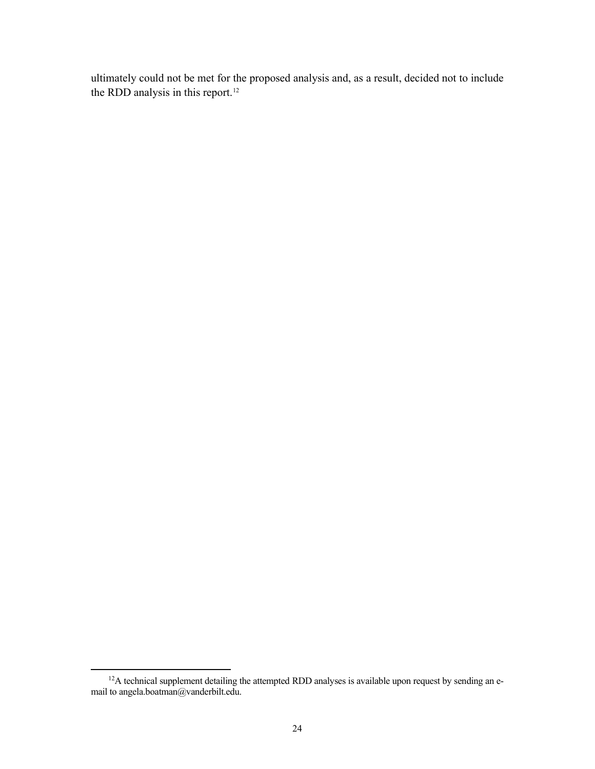ultimately could not be met for the proposed analysis and, as a result, decided not to include the RDD analysis in this report.<sup>[12](#page-33-0)</sup>

<span id="page-33-0"></span><sup>&</sup>lt;sup>12</sup>A technical supplement detailing the attempted RDD analyses is available upon request by sending an email to angela.boatman@vanderbilt.edu.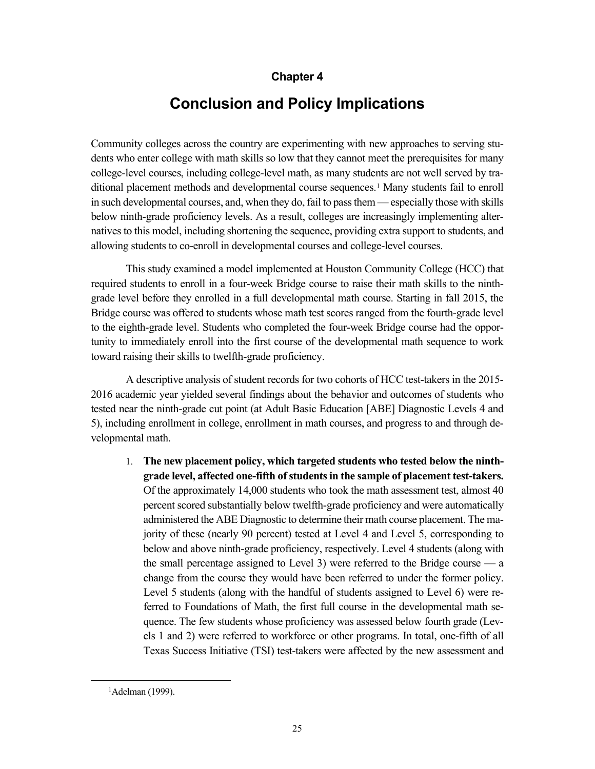### **Chapter 4**

# **Conclusion and Policy Implications**

Community colleges across the country are experimenting with new approaches to serving students who enter college with math skills so low that they cannot meet the prerequisites for many college-level courses, including college-level math, as many students are not well served by tra-ditional placement methods and developmental course sequences.<sup>[1](#page-34-0)</sup> Many students fail to enroll in such developmental courses, and, when they do, fail to pass them — especially those with skills below ninth-grade proficiency levels. As a result, colleges are increasingly implementing alternatives to this model, including shortening the sequence, providing extra support to students, and allowing students to co-enroll in developmental courses and college-level courses.

This study examined a model implemented at Houston Community College (HCC) that required students to enroll in a four-week Bridge course to raise their math skills to the ninthgrade level before they enrolled in a full developmental math course. Starting in fall 2015, the Bridge course was offered to students whose math test scores ranged from the fourth-grade level to the eighth-grade level. Students who completed the four-week Bridge course had the opportunity to immediately enroll into the first course of the developmental math sequence to work toward raising their skills to twelfth-grade proficiency.

A descriptive analysis of student records for two cohorts of HCC test-takers in the 2015- 2016 academic year yielded several findings about the behavior and outcomes of students who tested near the ninth-grade cut point (at Adult Basic Education [ABE] Diagnostic Levels 4 and 5), including enrollment in college, enrollment in math courses, and progress to and through developmental math.

1. **The new placement policy, which targeted students who tested below the ninthgrade level, affected one-fifth of students in the sample of placement test-takers.** Of the approximately 14,000 students who took the math assessment test, almost 40 percent scored substantially below twelfth-grade proficiency and were automatically administered the ABE Diagnostic to determine their math course placement. The majority of these (nearly 90 percent) tested at Level 4 and Level 5, corresponding to below and above ninth-grade proficiency, respectively. Level 4 students (along with the small percentage assigned to Level 3) were referred to the Bridge course — a change from the course they would have been referred to under the former policy. Level 5 students (along with the handful of students assigned to Level 6) were referred to Foundations of Math, the first full course in the developmental math sequence. The few students whose proficiency was assessed below fourth grade (Levels 1 and 2) were referred to workforce or other programs. In total, one-fifth of all Texas Success Initiative (TSI) test-takers were affected by the new assessment and

<span id="page-34-0"></span><sup>1</sup> Adelman (1999).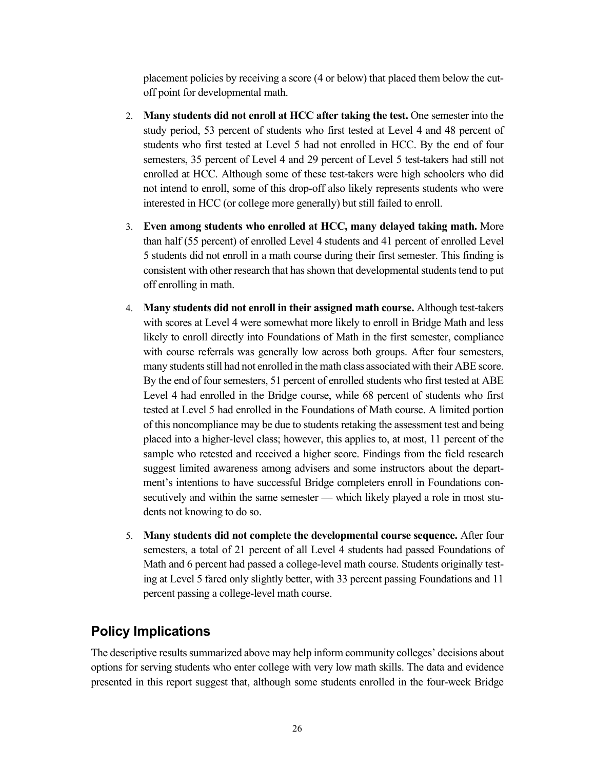placement policies by receiving a score (4 or below) that placed them below the cutoff point for developmental math.

- 2. **Many students did not enroll at HCC after taking the test.** One semester into the study period, 53 percent of students who first tested at Level 4 and 48 percent of students who first tested at Level 5 had not enrolled in HCC. By the end of four semesters, 35 percent of Level 4 and 29 percent of Level 5 test-takers had still not enrolled at HCC. Although some of these test-takers were high schoolers who did not intend to enroll, some of this drop-off also likely represents students who were interested in HCC (or college more generally) but still failed to enroll.
- 3. **Even among students who enrolled at HCC, many delayed taking math.** More than half (55 percent) of enrolled Level 4 students and 41 percent of enrolled Level 5 students did not enroll in a math course during their first semester. This finding is consistent with other research that has shown that developmental students tend to put off enrolling in math.
- 4. **Many students did not enroll in their assigned math course.** Although test-takers with scores at Level 4 were somewhat more likely to enroll in Bridge Math and less likely to enroll directly into Foundations of Math in the first semester, compliance with course referrals was generally low across both groups. After four semesters, many students still had not enrolled in the math class associated with their ABE score. By the end of four semesters, 51 percent of enrolled students who first tested at ABE Level 4 had enrolled in the Bridge course, while 68 percent of students who first tested at Level 5 had enrolled in the Foundations of Math course. A limited portion of this noncompliance may be due to students retaking the assessment test and being placed into a higher-level class; however, this applies to, at most, 11 percent of the sample who retested and received a higher score. Findings from the field research suggest limited awareness among advisers and some instructors about the department's intentions to have successful Bridge completers enroll in Foundations consecutively and within the same semester — which likely played a role in most students not knowing to do so.
- 5. **Many students did not complete the developmental course sequence.** After four semesters, a total of 21 percent of all Level 4 students had passed Foundations of Math and 6 percent had passed a college-level math course. Students originally testing at Level 5 fared only slightly better, with 33 percent passing Foundations and 11 percent passing a college-level math course.

# **Policy Implications**

The descriptive results summarized above may help inform community colleges' decisions about options for serving students who enter college with very low math skills. The data and evidence presented in this report suggest that, although some students enrolled in the four-week Bridge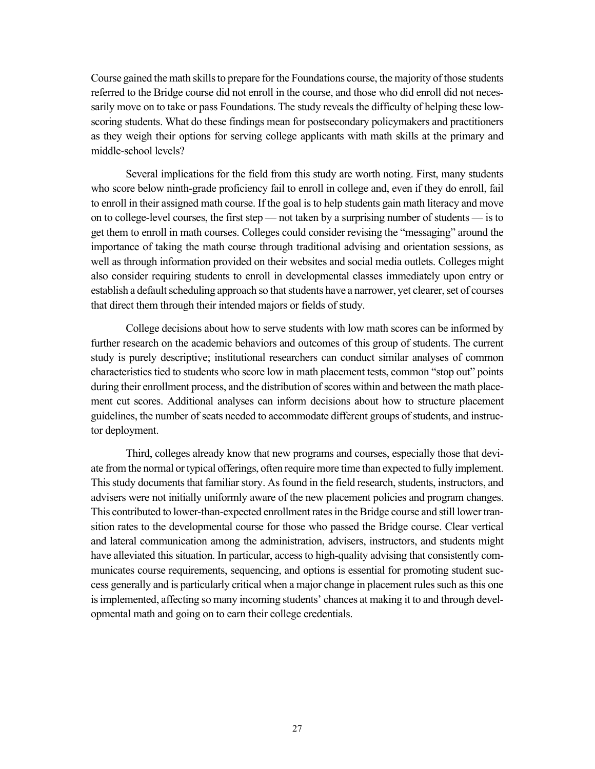Course gained the math skills to prepare for the Foundations course, the majority of those students referred to the Bridge course did not enroll in the course, and those who did enroll did not necessarily move on to take or pass Foundations. The study reveals the difficulty of helping these lowscoring students. What do these findings mean for postsecondary policymakers and practitioners as they weigh their options for serving college applicants with math skills at the primary and middle-school levels?

Several implications for the field from this study are worth noting. First, many students who score below ninth-grade proficiency fail to enroll in college and, even if they do enroll, fail to enroll in their assigned math course. If the goal is to help students gain math literacy and move on to college-level courses, the first step — not taken by a surprising number of students — is to get them to enroll in math courses. Colleges could consider revising the "messaging" around the importance of taking the math course through traditional advising and orientation sessions, as well as through information provided on their websites and social media outlets. Colleges might also consider requiring students to enroll in developmental classes immediately upon entry or establish a default scheduling approach so that students have a narrower, yet clearer, set of courses that direct them through their intended majors or fields of study.

College decisions about how to serve students with low math scores can be informed by further research on the academic behaviors and outcomes of this group of students. The current study is purely descriptive; institutional researchers can conduct similar analyses of common characteristics tied to students who score low in math placement tests, common "stop out" points during their enrollment process, and the distribution of scores within and between the math placement cut scores. Additional analyses can inform decisions about how to structure placement guidelines, the number of seats needed to accommodate different groups of students, and instructor deployment.

Third, colleges already know that new programs and courses, especially those that deviate from the normal or typical offerings, often require more time than expected to fully implement. This study documents that familiar story. As found in the field research, students, instructors, and advisers were not initially uniformly aware of the new placement policies and program changes. This contributed to lower-than-expected enrollment rates in the Bridge course and still lower transition rates to the developmental course for those who passed the Bridge course. Clear vertical and lateral communication among the administration, advisers, instructors, and students might have alleviated this situation. In particular, access to high-quality advising that consistently communicates course requirements, sequencing, and options is essential for promoting student success generally and is particularly critical when a major change in placement rules such as this one is implemented, affecting so many incoming students' chances at making it to and through developmental math and going on to earn their college credentials.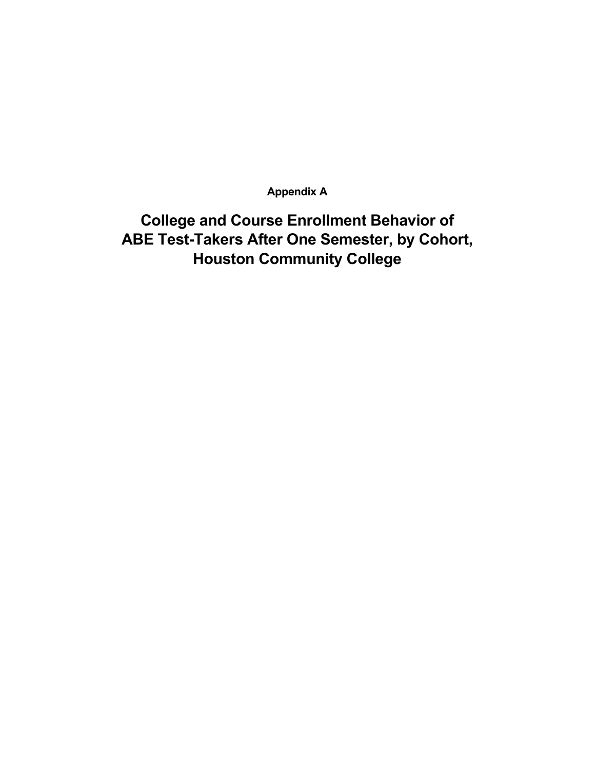**Appendix A**

**College and Course Enrollment Behavior of ABE Test-Takers After One Semester, by Cohort, Houston Community College**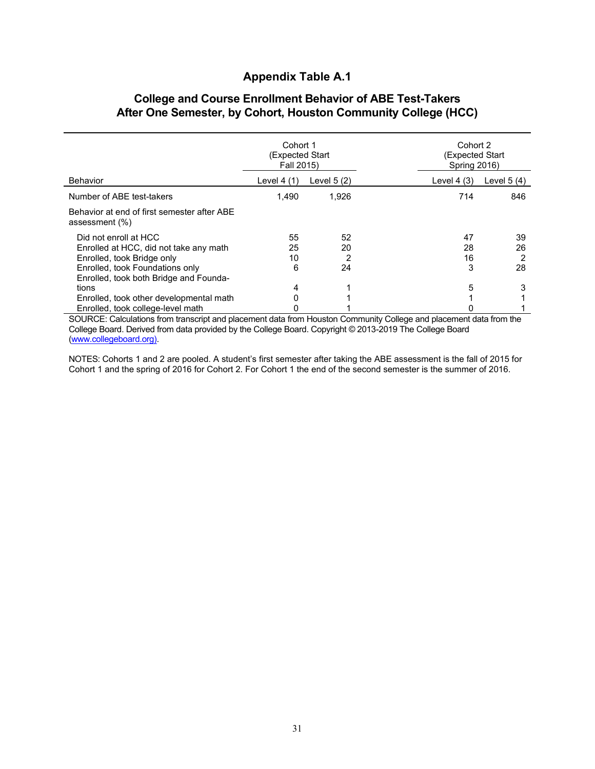### **Appendix Table A.1**

### **College and Course Enrollment Behavior of ABE Test-Takers After One Semester, by Cohort, Houston Community College (HCC)**

|                                                                                                                                                                            | Cohort 1<br>(Expected Start)<br>Fall 2015) |                     |                     | Cohort 2<br>(Expected Start<br><b>Spring 2016)</b> |  |
|----------------------------------------------------------------------------------------------------------------------------------------------------------------------------|--------------------------------------------|---------------------|---------------------|----------------------------------------------------|--|
| Behavior                                                                                                                                                                   | Level $4(1)$                               | Level $5(2)$        | Level $4(3)$        | Level $5(4)$                                       |  |
| Number of ABE test-takers                                                                                                                                                  | 1.490                                      | 1,926               | 714                 | 846                                                |  |
| Behavior at end of first semester after ABE<br>assessment (%)                                                                                                              |                                            |                     |                     |                                                    |  |
| Did not enroll at HCC<br>Enrolled at HCC, did not take any math<br>Enrolled, took Bridge only<br>Enrolled, took Foundations only<br>Enrolled, took both Bridge and Founda- | 55<br>25<br>10<br>6                        | 52<br>20<br>2<br>24 | 47<br>28<br>16<br>3 | 39<br>26<br>2<br>28                                |  |
| tions<br>Enrolled, took other developmental math<br>Enrolled, took college-level math                                                                                      | 4                                          |                     | 5                   | 3                                                  |  |

SOURCE: Calculations from transcript and placement data from Houston Community College and placement data from the College Board. Derived from data provided by the College Board. Copyright © 2013-2019 The College Board [\(www.collegeboard.org\)](http://www.collegeboard.org/).

NOTES: Cohorts 1 and 2 are pooled. A student's first semester after taking the ABE assessment is the fall of 2015 for Cohort 1 and the spring of 2016 for Cohort 2. For Cohort 1 the end of the second semester is the summer of 2016.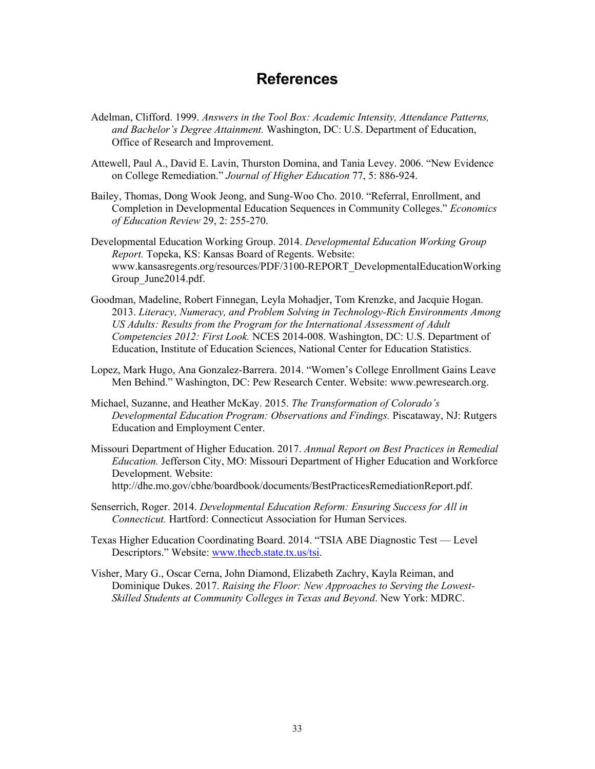## **References**

- Adelman, Clifford. 1999. *Answers in the Tool Box: Academic Intensity, Attendance Patterns, and Bachelor's Degree Attainment.* Washington, DC: U.S. Department of Education, Office of Research and Improvement.
- Attewell, Paul A., David E. Lavin, Thurston Domina, and Tania Levey. 2006. "New Evidence on College Remediation." *Journal of Higher Education* 77, 5: 886-924.
- Bailey, Thomas, Dong Wook Jeong, and Sung-Woo Cho. 2010. "Referral, Enrollment, and Completion in Developmental Education Sequences in Community Colleges." *Economics of Education Review* 29, 2: 255-270.
- Developmental Education Working Group. 2014. *Developmental Education Working Group Report.* Topeka, KS: Kansas Board of Regents. Website: www.kansasregents.org/resources/PDF/3100-REPORT\_DevelopmentalEducationWorking Group\_June2014.pdf.
- Goodman, Madeline, Robert Finnegan, Leyla Mohadjer, Tom Krenzke, and Jacquie Hogan. 2013. *Literacy, Numeracy, and Problem Solving in Technology-Rich Environments Among US Adults: Results from the Program for the International Assessment of Adult Competencies 2012: First Look.* NCES 2014-008. Washington, DC: U.S. Department of Education, Institute of Education Sciences, National Center for Education Statistics.
- Lopez, Mark Hugo, Ana Gonzalez-Barrera. 2014. "Women's College Enrollment Gains Leave Men Behind." Washington, DC: Pew Research Center. Website: www.pewresearch.org.
- Michael, Suzanne, and Heather McKay. 2015. *The Transformation of Colorado's Developmental Education Program: Observations and Findings.* Piscataway, NJ: Rutgers Education and Employment Center.
- Missouri Department of Higher Education. 2017. *Annual Report on Best Practices in Remedial Education.* Jefferson City, MO: Missouri Department of Higher Education and Workforce Development. Website: http://dhe.mo.gov/cbhe/boardbook/documents/BestPracticesRemediationReport.pdf.
- Senserrich, Roger. 2014. *Developmental Education Reform: Ensuring Success for All in Connecticut.* Hartford: Connecticut Association for Human Services.
- Texas Higher Education Coordinating Board. 2014. "TSIA ABE Diagnostic Test Level Descriptors." Website: [www.thecb.state.tx.us/tsi.](http://www.thecb.state.tx.us/tsi)
- Visher, Mary G., Oscar Cerna, John Diamond, Elizabeth Zachry, Kayla Reiman, and Dominique Dukes. 2017. *Raising the Floor: New Approaches to Serving the Lowest-Skilled Students at Community Colleges in Texas and Beyond*. New York: MDRC.